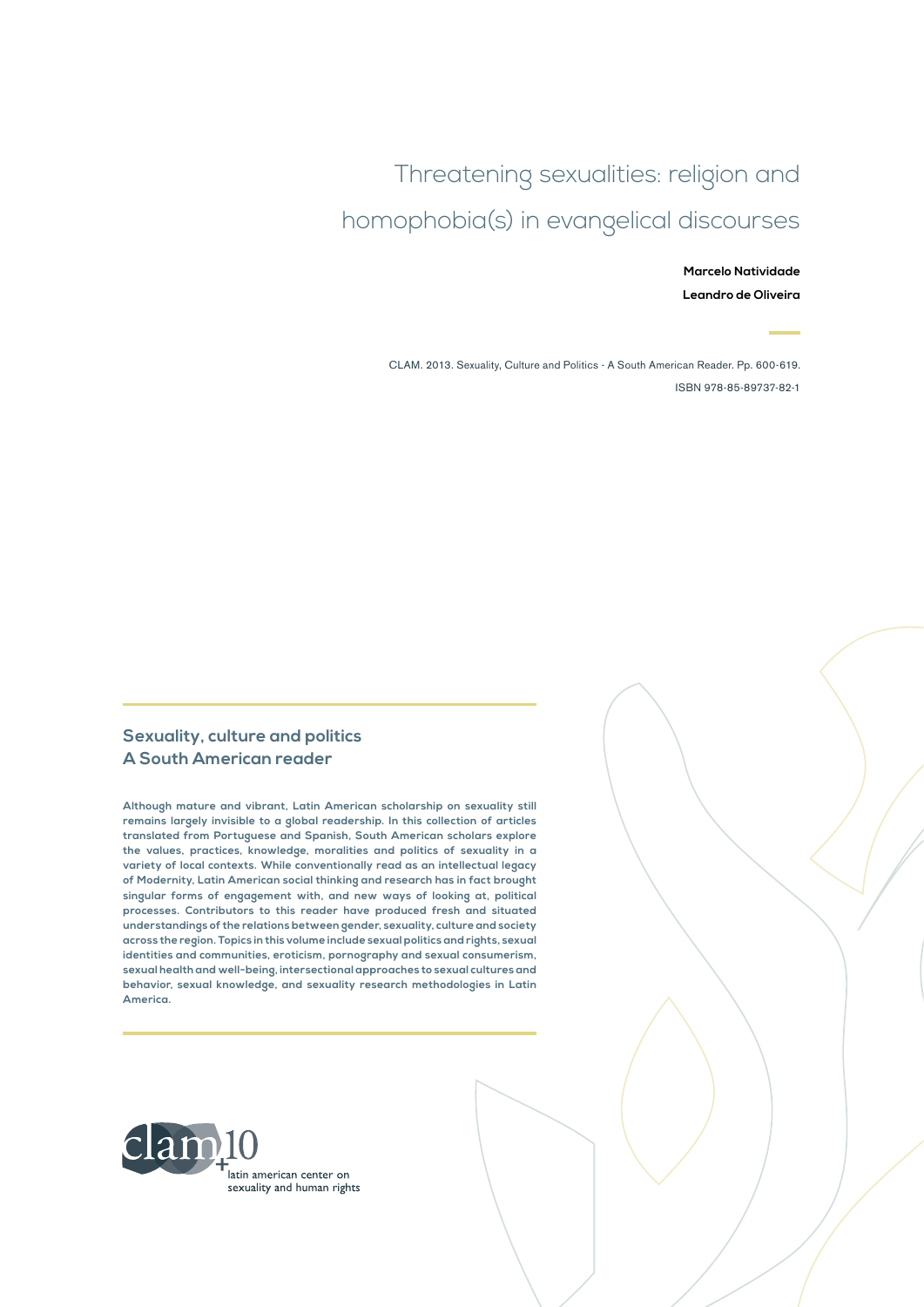# Threatening sexualities: religion and homophobia(s) in evangelical discourses

**Marcelo Natividade Leandro de Oliveira**

CLAM. 2013. Sexuality, Culture and Politics - A South American Reader. Pp. 600-619. ISBN 978-85-89737-82-1

#### **Sexuality, culture and politics A South American reader**

**Although mature and vibrant, Latin American scholarship on sexuality still remains largely invisible to a global readership. In this collection of articles translated from Portuguese and Spanish, South American scholars explore the values, practices, knowledge, moralities and politics of sexuality in a variety of local contexts. While conventionally read as an intellectual legacy of Modernity, Latin American social thinking and research has in fact brought singular forms of engagement with, and new ways of looking at, political processes. Contributors to this reader have produced fresh and situated understandings of the relations between gender, sexuality, culture and society across the region. Topics in this volume include sexual politics and rights, sexual identities and communities, eroticism, pornography and sexual consumerism, sexual health and well-being, intersectional approaches to sexual cultures and behavior, sexual knowledge, and sexuality research methodologies in Latin America.**

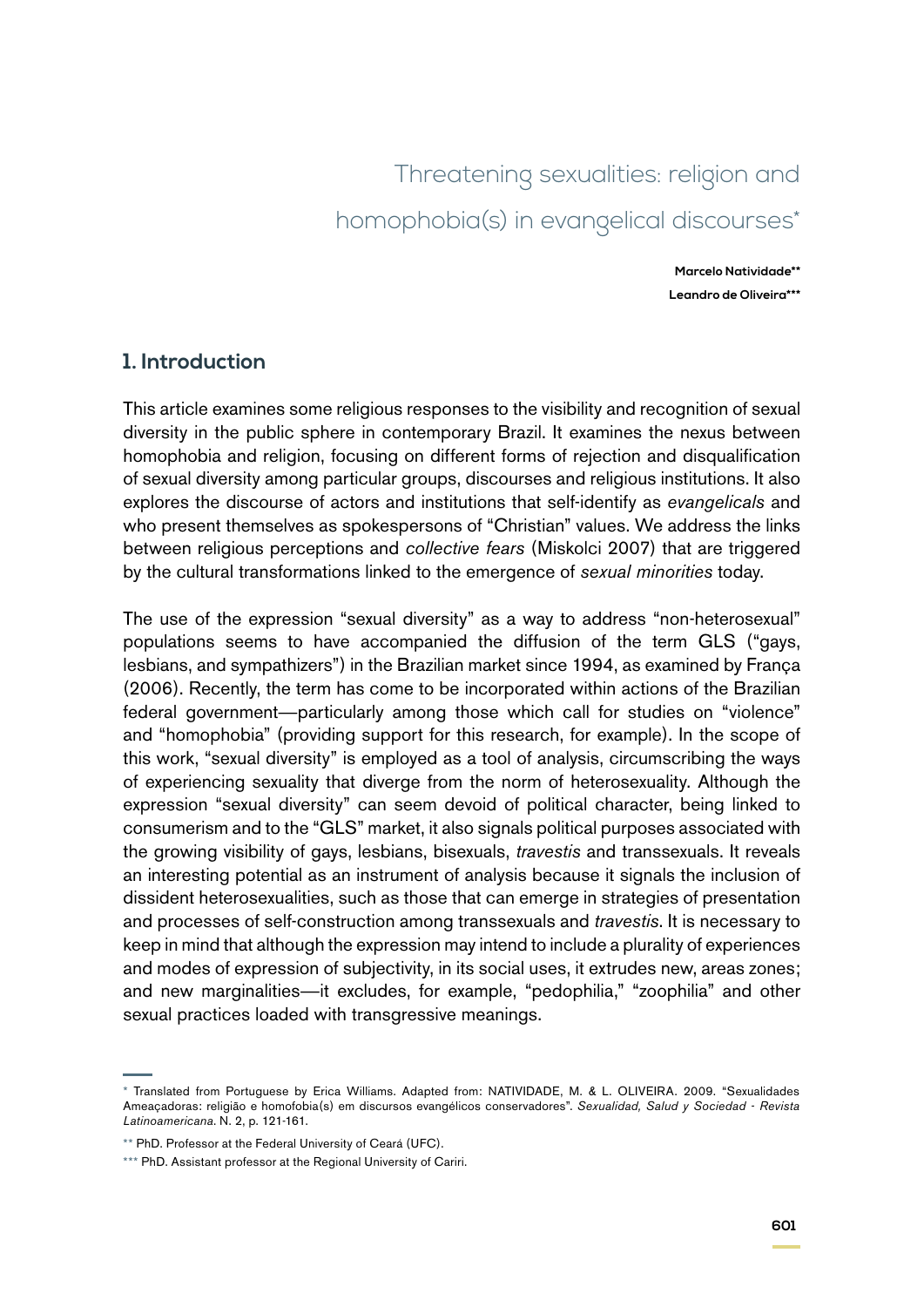# Threatening sexualities: religion and homophobia(s) in evangelical discourses\*

**Marcelo Natividade\*\* Leandro de Oliveira\*\*\***

## **1. Introduction**

This article examines some religious responses to the visibility and recognition of sexual diversity in the public sphere in contemporary Brazil. It examines the nexus between homophobia and religion, focusing on different forms of rejection and disqualification of sexual diversity among particular groups, discourses and religious institutions. It also explores the discourse of actors and institutions that self-identify as *evangelicals* and who present themselves as spokespersons of "Christian" values. We address the links between religious perceptions and *collective fears* (Miskolci 2007) that are triggered by the cultural transformations linked to the emergence of *sexual minorities* today.

The use of the expression "sexual diversity" as a way to address "non-heterosexual" populations seems to have accompanied the diffusion of the term GLS ("gays, lesbians, and sympathizers") in the Brazilian market since 1994, as examined by França (2006). Recently, the term has come to be incorporated within actions of the Brazilian federal government—particularly among those which call for studies on "violence" and "homophobia" (providing support for this research, for example). In the scope of this work, "sexual diversity" is employed as a tool of analysis, circumscribing the ways of experiencing sexuality that diverge from the norm of heterosexuality. Although the expression "sexual diversity" can seem devoid of political character, being linked to consumerism and to the "GLS" market, it also signals political purposes associated with the growing visibility of gays, lesbians, bisexuals, *travestis* and transsexuals. It reveals an interesting potential as an instrument of analysis because it signals the inclusion of dissident heterosexualities, such as those that can emerge in strategies of presentation and processes of self-construction among transsexuals and *travestis*. It is necessary to keep in mind that although the expression may intend to include a plurality of experiences and modes of expression of subjectivity, in its social uses, it extrudes new, areas zones; and new marginalities—it excludes, for example, "pedophilia," "zoophilia" and other sexual practices loaded with transgressive meanings.

<sup>\*</sup> Translated from Portuguese by Erica Williams. Adapted from: NATIVIDADE, M. & L. OLIVEIRA. 2009. "Sexualidades Ameaçadoras: religião e homofobia(s) em discursos evangélicos conservadores". *Sexualidad, Salud y Sociedad - Revista Latinoamericana*. N. 2, p. 121-161.

<sup>\*\*</sup> PhD. Professor at the Federal University of Ceará (UFC).

<sup>\*\*\*</sup> PhD. Assistant professor at the Regional University of Cariri.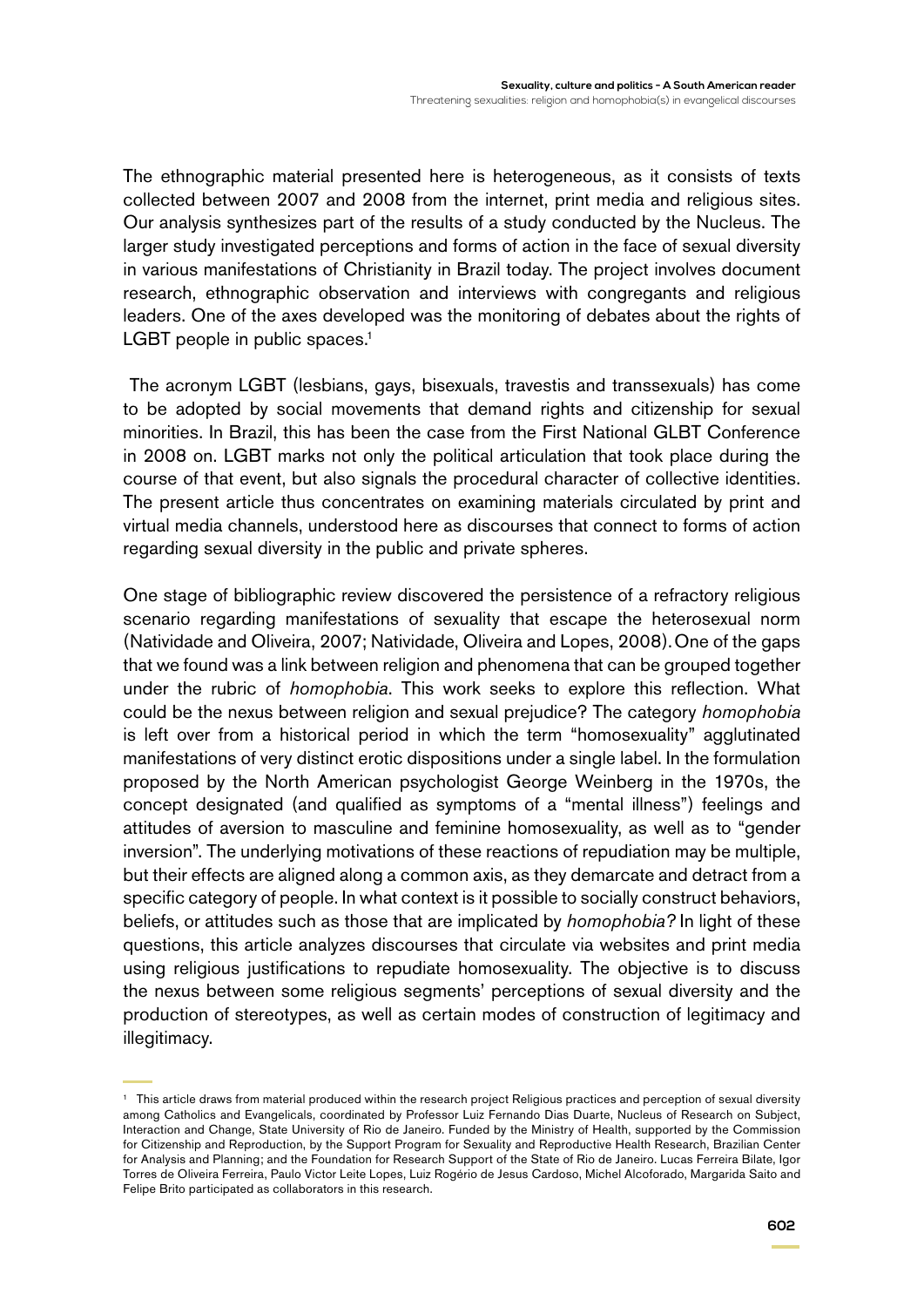The ethnographic material presented here is heterogeneous, as it consists of texts collected between 2007 and 2008 from the internet, print media and religious sites. Our analysis synthesizes part of the results of a study conducted by the Nucleus. The larger study investigated perceptions and forms of action in the face of sexual diversity in various manifestations of Christianity in Brazil today. The project involves document research, ethnographic observation and interviews with congregants and religious leaders. One of the axes developed was the monitoring of debates about the rights of LGBT people in public spaces. $<sup>1</sup>$ </sup>

 The acronym LGBT (lesbians, gays, bisexuals, travestis and transsexuals) has come to be adopted by social movements that demand rights and citizenship for sexual minorities. In Brazil, this has been the case from the First National GLBT Conference in 2008 on. LGBT marks not only the political articulation that took place during the course of that event, but also signals the procedural character of collective identities. The present article thus concentrates on examining materials circulated by print and virtual media channels, understood here as discourses that connect to forms of action regarding sexual diversity in the public and private spheres.

One stage of bibliographic review discovered the persistence of a refractory religious scenario regarding manifestations of sexuality that escape the heterosexual norm (Natividade and Oliveira, 2007; Natividade, Oliveira and Lopes, 2008).One of the gaps that we found was a link between religion and phenomena that can be grouped together under the rubric of *homophobia*. This work seeks to explore this reflection. What could be the nexus between religion and sexual prejudice? The category *homophobia* is left over from a historical period in which the term "homosexuality" agglutinated manifestations of very distinct erotic dispositions under a single label. In the formulation proposed by the North American psychologist George Weinberg in the 1970s, the concept designated (and qualified as symptoms of a "mental illness") feelings and attitudes of aversion to masculine and feminine homosexuality, as well as to "gender inversion". The underlying motivations of these reactions of repudiation may be multiple, but their effects are aligned along a common axis, as they demarcate and detract from a specific category of people. In what context is it possible to socially construct behaviors, beliefs, or attitudes such as those that are implicated by *homophobia?* In light of these questions, this article analyzes discourses that circulate via websites and print media using religious justifications to repudiate homosexuality. The objective is to discuss the nexus between some religious segments' perceptions of sexual diversity and the production of stereotypes, as well as certain modes of construction of legitimacy and illegitimacy.

<sup>1</sup> This article draws from material produced within the research project Religious practices and perception of sexual diversity among Catholics and Evangelicals, coordinated by Professor Luiz Fernando Dias Duarte, Nucleus of Research on Subject, Interaction and Change, State University of Rio de Janeiro. Funded by the Ministry of Health, supported by the Commission for Citizenship and Reproduction, by the Support Program for Sexuality and Reproductive Health Research, Brazilian Center for Analysis and Planning; and the Foundation for Research Support of the State of Rio de Janeiro. Lucas Ferreira Bilate, Igor Torres de Oliveira Ferreira, Paulo Victor Leite Lopes, Luiz Rogério de Jesus Cardoso, Michel Alcoforado, Margarida Saito and Felipe Brito participated as collaborators in this research.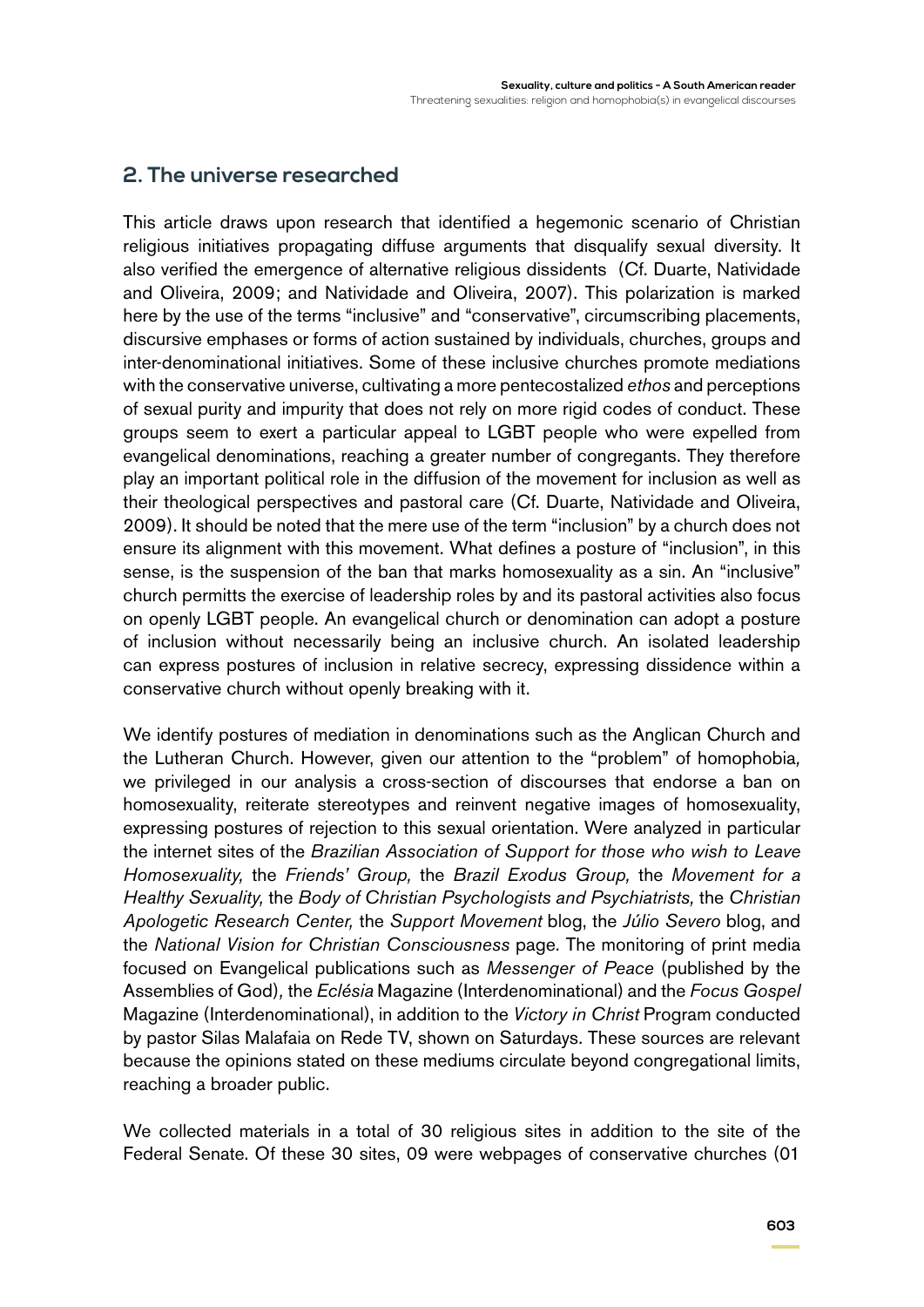# **2. The universe researched**

This article draws upon research that identified a hegemonic scenario of Christian religious initiatives propagating diffuse arguments that disqualify sexual diversity. It also verified the emergence of alternative religious dissidents (Cf. Duarte, Natividade and Oliveira, 2009; and Natividade and Oliveira, 2007). This polarization is marked here by the use of the terms "inclusive" and "conservative", circumscribing placements, discursive emphases or forms of action sustained by individuals, churches, groups and inter-denominational initiatives. Some of these inclusive churches promote mediations with the conservative universe, cultivating a more pentecostalized *ethos* and perceptions of sexual purity and impurity that does not rely on more rigid codes of conduct. These groups seem to exert a particular appeal to LGBT people who were expelled from evangelical denominations, reaching a greater number of congregants. They therefore play an important political role in the diffusion of the movement for inclusion as well as their theological perspectives and pastoral care (Cf. Duarte, Natividade and Oliveira, 2009). It should be noted that the mere use of the term "inclusion" by a church does not ensure its alignment with this movement. What defines a posture of "inclusion", in this sense, is the suspension of the ban that marks homosexuality as a sin. An "inclusive" church permitts the exercise of leadership roles by and its pastoral activities also focus on openly LGBT people. An evangelical church or denomination can adopt a posture of inclusion without necessarily being an inclusive church. An isolated leadership can express postures of inclusion in relative secrecy, expressing dissidence within a conservative church without openly breaking with it.

We identify postures of mediation in denominations such as the Anglican Church and the Lutheran Church. However, given our attention to the "problem" of homophobia*,*  we privileged in our analysis a cross-section of discourses that endorse a ban on homosexuality, reiterate stereotypes and reinvent negative images of homosexuality, expressing postures of rejection to this sexual orientation. Were analyzed in particular the internet sites of the *Brazilian Association of Support for those who wish to Leave Homosexuality,* the *Friends' Group,* the *Brazil Exodus Group,* the *Movement for a Healthy Sexuality,* the *Body of Christian Psychologists and Psychiatrists,* the *Christian Apologetic Research Center,* the *Support Movement* blog, the *Júlio Severo* blog, and the *National Vision for Christian Consciousness* page. The monitoring of print media focused on Evangelical publications such as *Messenger of Peace* (published by the Assemblies of God)*,* the *Eclésia* Magazine (Interdenominational) and the *Focus Gospel* Magazine (Interdenominational), in addition to the *Victory in Christ* Program conducted by pastor Silas Malafaia on Rede TV, shown on Saturdays. These sources are relevant because the opinions stated on these mediums circulate beyond congregational limits, reaching a broader public.

We collected materials in a total of 30 religious sites in addition to the site of the Federal Senate. Of these 30 sites, 09 were webpages of conservative churches (01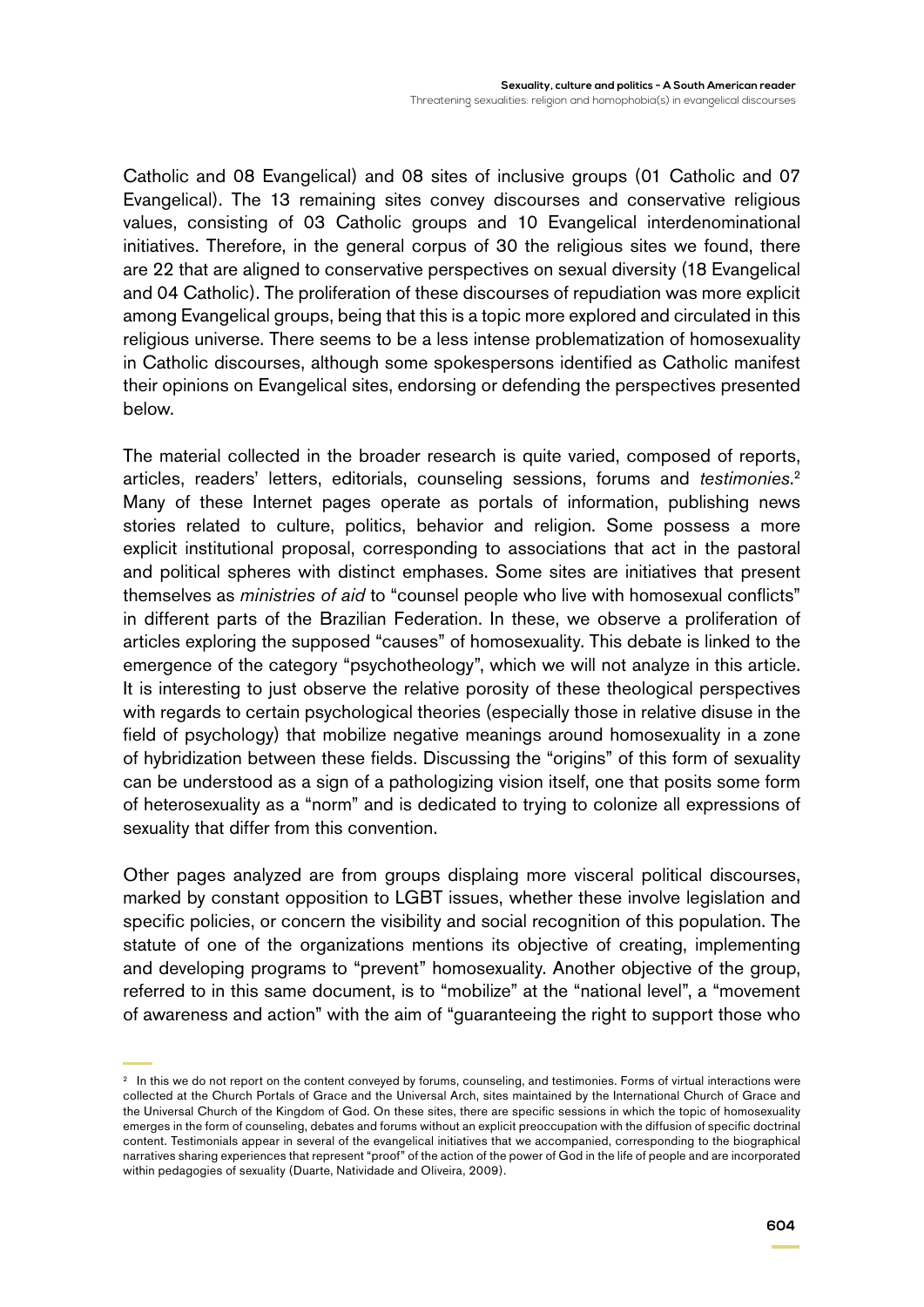Catholic and 08 Evangelical) and 08 sites of inclusive groups (01 Catholic and 07 Evangelical). The 13 remaining sites convey discourses and conservative religious values, consisting of 03 Catholic groups and 10 Evangelical interdenominational initiatives. Therefore, in the general corpus of 30 the religious sites we found, there are 22 that are aligned to conservative perspectives on sexual diversity (18 Evangelical and 04 Catholic). The proliferation of these discourses of repudiation was more explicit among Evangelical groups, being that this is a topic more explored and circulated in this religious universe. There seems to be a less intense problematization of homosexuality in Catholic discourses, although some spokespersons identified as Catholic manifest their opinions on Evangelical sites, endorsing or defending the perspectives presented below.

The material collected in the broader research is quite varied, composed of reports, articles, readers' letters, editorials, counseling sessions, forums and *testimonies*. 2 Many of these Internet pages operate as portals of information, publishing news stories related to culture, politics, behavior and religion. Some possess a more explicit institutional proposal, corresponding to associations that act in the pastoral and political spheres with distinct emphases. Some sites are initiatives that present themselves as *ministries of aid* to "counsel people who live with homosexual conflicts" in different parts of the Brazilian Federation. In these, we observe a proliferation of articles exploring the supposed "causes" of homosexuality. This debate is linked to the emergence of the category "psychotheology", which we will not analyze in this article. It is interesting to just observe the relative porosity of these theological perspectives with regards to certain psychological theories (especially those in relative disuse in the field of psychology) that mobilize negative meanings around homosexuality in a zone of hybridization between these fields. Discussing the "origins" of this form of sexuality can be understood as a sign of a pathologizing vision itself, one that posits some form of heterosexuality as a "norm" and is dedicated to trying to colonize all expressions of sexuality that differ from this convention.

Other pages analyzed are from groups displaing more visceral political discourses, marked by constant opposition to LGBT issues, whether these involve legislation and specific policies, or concern the visibility and social recognition of this population. The statute of one of the organizations mentions its objective of creating, implementing and developing programs to "prevent" homosexuality. Another objective of the group, referred to in this same document, is to "mobilize" at the "national level", a "movement of awareness and action" with the aim of "guaranteeing the right to support those who

<sup>&</sup>lt;sup>2</sup> In this we do not report on the content conveyed by forums, counseling, and testimonies. Forms of virtual interactions were collected at the Church Portals of Grace and the Universal Arch, sites maintained by the International Church of Grace and the Universal Church of the Kingdom of God. On these sites, there are specific sessions in which the topic of homosexuality emerges in the form of counseling, debates and forums without an explicit preoccupation with the diffusion of specific doctrinal content. Testimonials appear in several of the evangelical initiatives that we accompanied, corresponding to the biographical narratives sharing experiences that represent "proof" of the action of the power of God in the life of people and are incorporated within pedagogies of sexuality (Duarte, Natividade and Oliveira, 2009).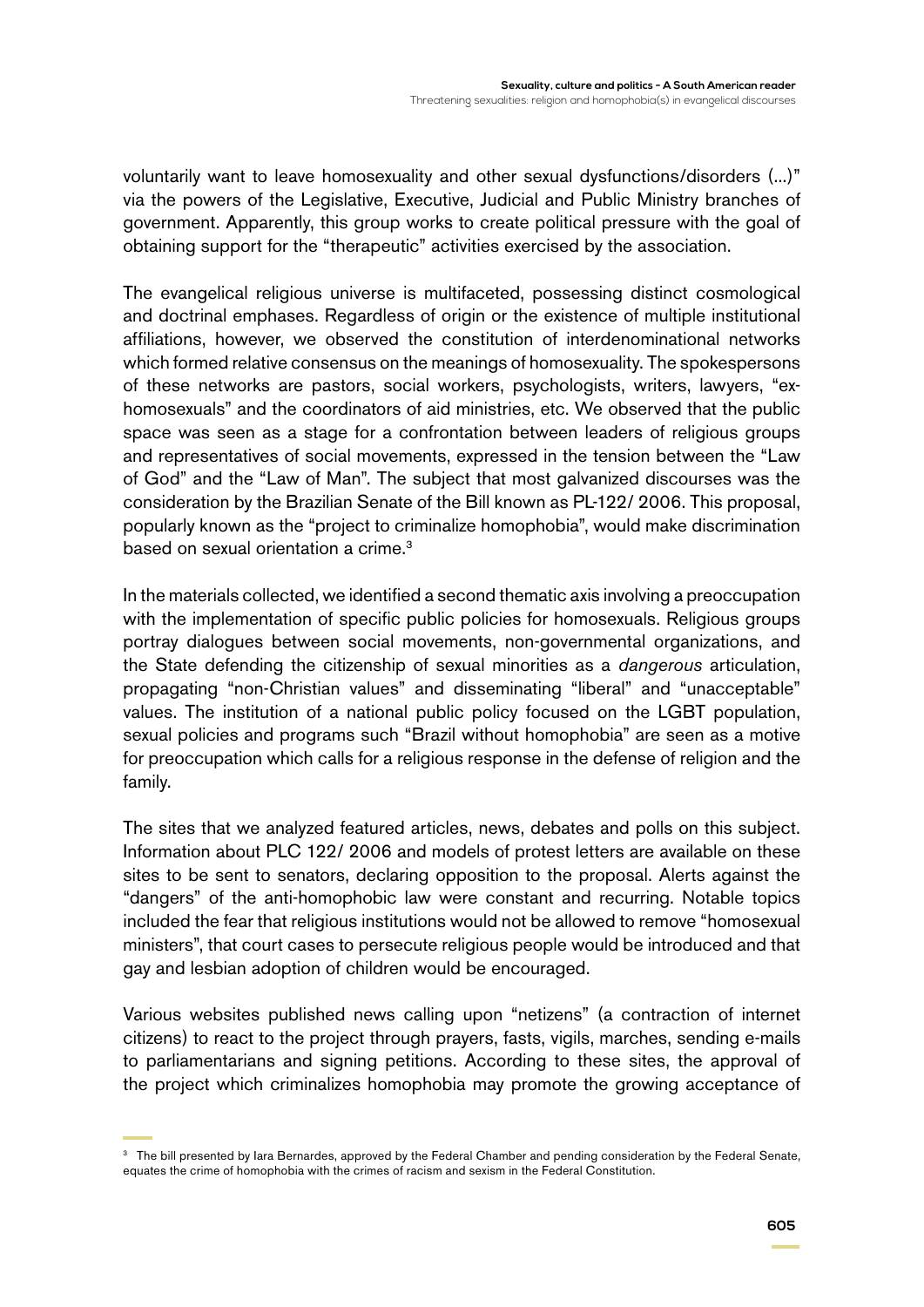voluntarily want to leave homosexuality and other sexual dysfunctions/disorders (...)" via the powers of the Legislative, Executive, Judicial and Public Ministry branches of government. Apparently, this group works to create political pressure with the goal of obtaining support for the "therapeutic" activities exercised by the association.

The evangelical religious universe is multifaceted, possessing distinct cosmological and doctrinal emphases. Regardless of origin or the existence of multiple institutional affiliations, however, we observed the constitution of interdenominational networks which formed relative consensus on the meanings of homosexuality. The spokespersons of these networks are pastors, social workers, psychologists, writers, lawyers, "exhomosexuals" and the coordinators of aid ministries, etc. We observed that the public space was seen as a stage for a confrontation between leaders of religious groups and representatives of social movements, expressed in the tension between the "Law of God" and the "Law of Man". The subject that most galvanized discourses was the consideration by the Brazilian Senate of the Bill known as PL-122/ 2006. This proposal, popularly known as the "project to criminalize homophobia", would make discrimination based on sexual orientation a crime.<sup>3</sup>

In the materials collected, we identified a second thematic axis involving a preoccupation with the implementation of specific public policies for homosexuals. Religious groups portray dialogues between social movements, non-governmental organizations, and the State defending the citizenship of sexual minorities as a *dangerous* articulation, propagating "non-Christian values" and disseminating "liberal" and "unacceptable" values. The institution of a national public policy focused on the LGBT population, sexual policies and programs such "Brazil without homophobia" are seen as a motive for preoccupation which calls for a religious response in the defense of religion and the family.

The sites that we analyzed featured articles, news, debates and polls on this subject. Information about PLC 122/ 2006 and models of protest letters are available on these sites to be sent to senators, declaring opposition to the proposal. Alerts against the "dangers" of the anti-homophobic law were constant and recurring. Notable topics included the fear that religious institutions would not be allowed to remove "homosexual ministers", that court cases to persecute religious people would be introduced and that gay and lesbian adoption of children would be encouraged.

Various websites published news calling upon "netizens" (a contraction of internet citizens) to react to the project through prayers, fasts, vigils, marches, sending e-mails to parliamentarians and signing petitions. According to these sites, the approval of the project which criminalizes homophobia may promote the growing acceptance of

<sup>&</sup>lt;sup>3</sup> The bill presented by Iara Bernardes, approved by the Federal Chamber and pending consideration by the Federal Senate, equates the crime of homophobia with the crimes of racism and sexism in the Federal Constitution.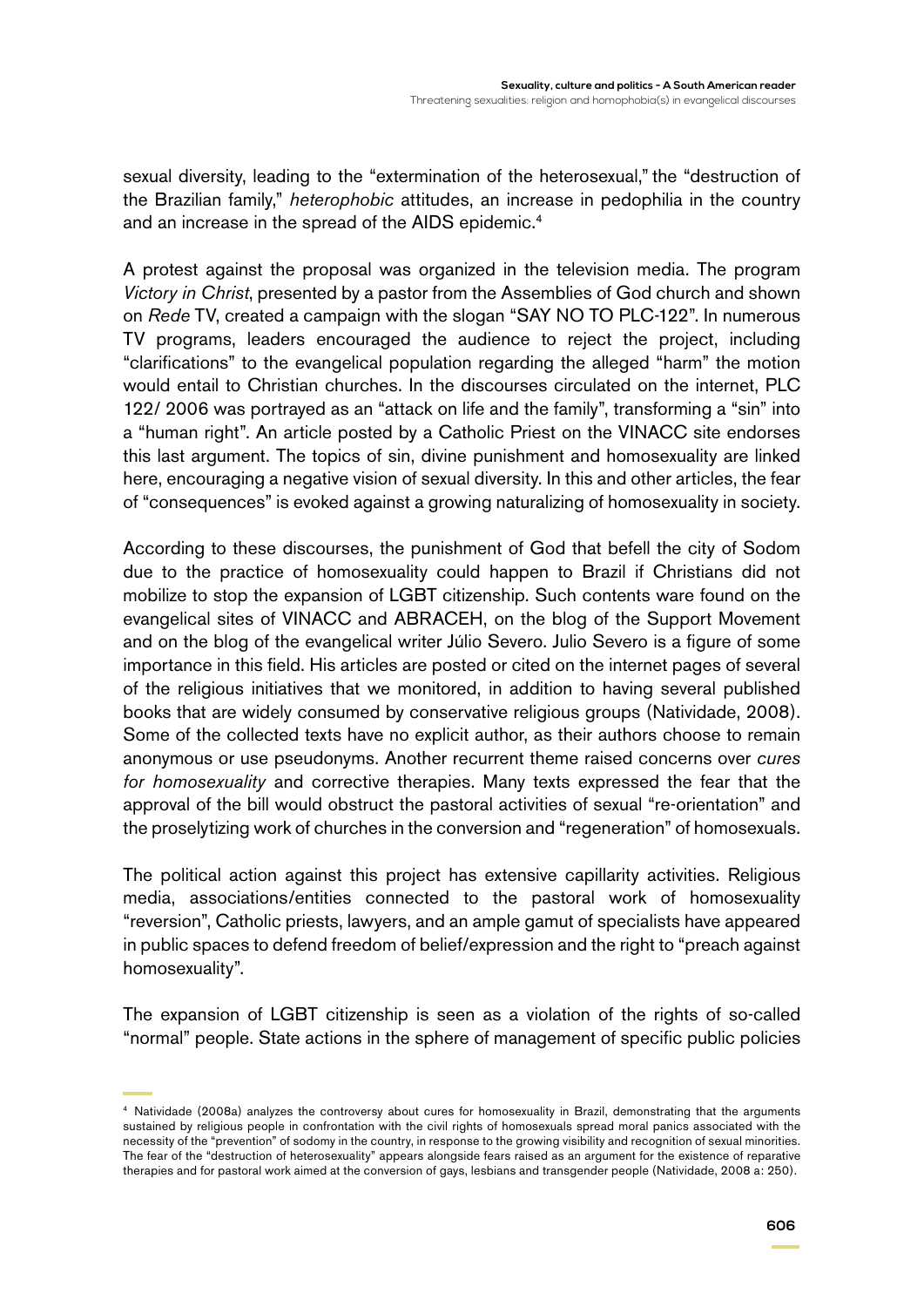sexual diversity, leading to the "extermination of the heterosexual," the "destruction of the Brazilian family," *heterophobic* attitudes, an increase in pedophilia in the country and an increase in the spread of the AIDS epidemic.<sup>4</sup>

A protest against the proposal was organized in the television media. The program *Victory in Christ*, presented by a pastor from the Assemblies of God church and shown on *Rede* TV, created a campaign with the slogan "SAY NO TO PLC-122". In numerous TV programs, leaders encouraged the audience to reject the project, including "clarifications" to the evangelical population regarding the alleged "harm" the motion would entail to Christian churches. In the discourses circulated on the internet, PLC 122/ 2006 was portrayed as an "attack on life and the family", transforming a "sin" into a "human right". An article posted by a Catholic Priest on the VINACC site endorses this last argument. The topics of sin, divine punishment and homosexuality are linked here, encouraging a negative vision of sexual diversity. In this and other articles, the fear of "consequences" is evoked against a growing naturalizing of homosexuality in society.

According to these discourses, the punishment of God that befell the city of Sodom due to the practice of homosexuality could happen to Brazil if Christians did not mobilize to stop the expansion of LGBT citizenship. Such contents ware found on the evangelical sites of VINACC and ABRACEH, on the blog of the Support Movement and on the blog of the evangelical writer Júlio Severo. Julio Severo is a figure of some importance in this field. His articles are posted or cited on the internet pages of several of the religious initiatives that we monitored, in addition to having several published books that are widely consumed by conservative religious groups (Natividade, 2008). Some of the collected texts have no explicit author, as their authors choose to remain anonymous or use pseudonyms. Another recurrent theme raised concerns over *cures for homosexuality* and corrective therapies. Many texts expressed the fear that the approval of the bill would obstruct the pastoral activities of sexual "re-orientation" and the proselytizing work of churches in the conversion and "regeneration" of homosexuals.

The political action against this project has extensive capillarity activities. Religious media, associations/entities connected to the pastoral work of homosexuality "reversion", Catholic priests, lawyers, and an ample gamut of specialists have appeared in public spaces to defend freedom of belief/expression and the right to "preach against homosexuality".

The expansion of LGBT citizenship is seen as a violation of the rights of so-called "normal" people. State actions in the sphere of management of specific public policies

<sup>4</sup> Natividade (2008a) analyzes the controversy about cures for homosexuality in Brazil, demonstrating that the arguments sustained by religious people in confrontation with the civil rights of homosexuals spread moral panics associated with the necessity of the "prevention" of sodomy in the country, in response to the growing visibility and recognition of sexual minorities. The fear of the "destruction of heterosexuality" appears alongside fears raised as an argument for the existence of reparative therapies and for pastoral work aimed at the conversion of gays, lesbians and transgender people (Natividade, 2008 a: 250).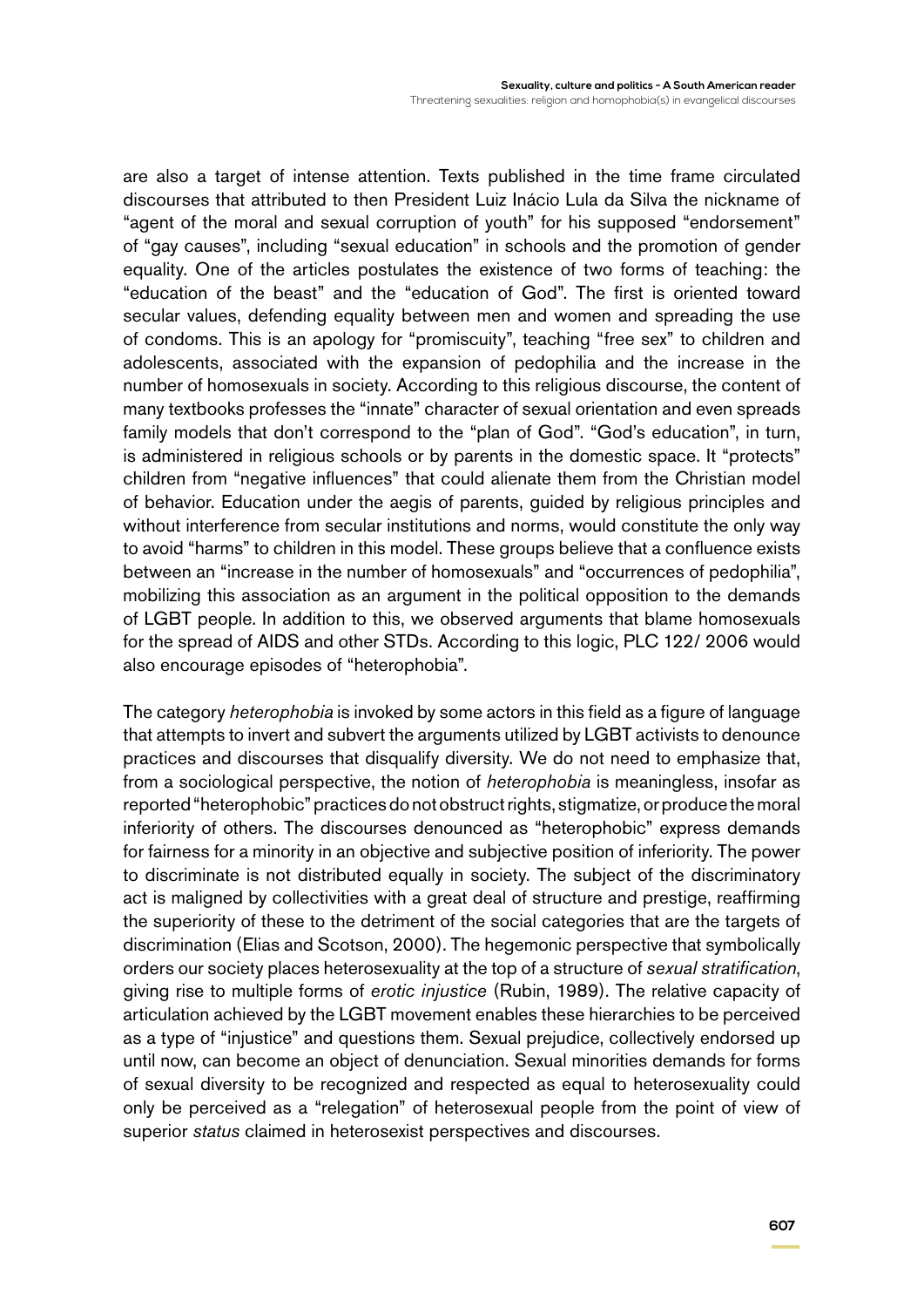are also a target of intense attention. Texts published in the time frame circulated discourses that attributed to then President Luiz Inácio Lula da Silva the nickname of "agent of the moral and sexual corruption of youth" for his supposed "endorsement" of "gay causes", including "sexual education" in schools and the promotion of gender equality. One of the articles postulates the existence of two forms of teaching: the "education of the beast" and the "education of God". The first is oriented toward secular values, defending equality between men and women and spreading the use of condoms. This is an apology for "promiscuity", teaching "free sex" to children and adolescents, associated with the expansion of pedophilia and the increase in the number of homosexuals in society. According to this religious discourse, the content of many textbooks professes the "innate" character of sexual orientation and even spreads family models that don't correspond to the "plan of God". "God's education", in turn, is administered in religious schools or by parents in the domestic space. It "protects" children from "negative influences" that could alienate them from the Christian model of behavior. Education under the aegis of parents, guided by religious principles and without interference from secular institutions and norms, would constitute the only way to avoid "harms" to children in this model. These groups believe that a confluence exists between an "increase in the number of homosexuals" and "occurrences of pedophilia", mobilizing this association as an argument in the political opposition to the demands of LGBT people. In addition to this, we observed arguments that blame homosexuals for the spread of AIDS and other STDs. According to this logic, PLC 122/ 2006 would also encourage episodes of "heterophobia".

The category *heterophobia* is invoked by some actors in this field as a figure of language that attempts to invert and subvert the arguments utilized by LGBT activists to denounce practices and discourses that disqualify diversity. We do not need to emphasize that, from a sociological perspective, the notion of *heterophobia* is meaningless, insofar as reported "heterophobic" practices do not obstruct rights, stigmatize, or produce the moral inferiority of others. The discourses denounced as "heterophobic" express demands for fairness for a minority in an objective and subjective position of inferiority. The power to discriminate is not distributed equally in society. The subject of the discriminatory act is maligned by collectivities with a great deal of structure and prestige, reaffirming the superiority of these to the detriment of the social categories that are the targets of discrimination (Elias and Scotson, 2000). The hegemonic perspective that symbolically orders our society places heterosexuality at the top of a structure of *sexual stratification*, giving rise to multiple forms of *erotic injustice* (Rubin, 1989). The relative capacity of articulation achieved by the LGBT movement enables these hierarchies to be perceived as a type of "injustice" and questions them. Sexual prejudice, collectively endorsed up until now, can become an object of denunciation. Sexual minorities demands for forms of sexual diversity to be recognized and respected as equal to heterosexuality could only be perceived as a "relegation" of heterosexual people from the point of view of superior *status* claimed in heterosexist perspectives and discourses.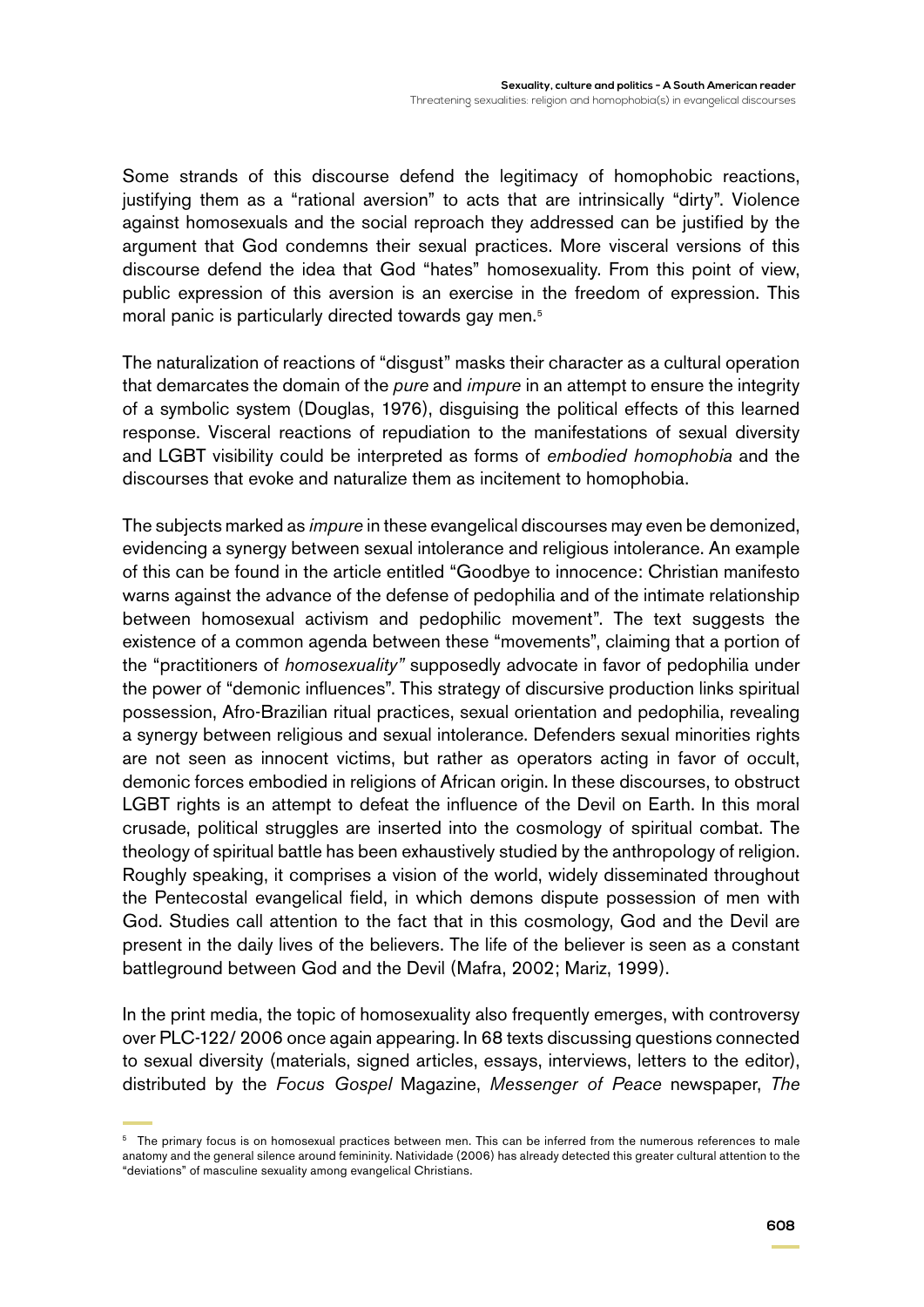Some strands of this discourse defend the legitimacy of homophobic reactions, justifying them as a "rational aversion" to acts that are intrinsically "dirty". Violence against homosexuals and the social reproach they addressed can be justified by the argument that God condemns their sexual practices. More visceral versions of this discourse defend the idea that God "hates" homosexuality. From this point of view, public expression of this aversion is an exercise in the freedom of expression. This moral panic is particularly directed towards gay men.<sup>5</sup>

The naturalization of reactions of "disgust" masks their character as a cultural operation that demarcates the domain of the *pure* and *impure* in an attempt to ensure the integrity of a symbolic system (Douglas, 1976), disguising the political effects of this learned response. Visceral reactions of repudiation to the manifestations of sexual diversity and LGBT visibility could be interpreted as forms of *embodied homophobia* and the discourses that evoke and naturalize them as incitement to homophobia.

The subjects marked as *impure* in these evangelical discourses may even be demonized, evidencing a synergy between sexual intolerance and religious intolerance. An example of this can be found in the article entitled "Goodbye to innocence: Christian manifesto warns against the advance of the defense of pedophilia and of the intimate relationship between homosexual activism and pedophilic movement". The text suggests the existence of a common agenda between these "movements", claiming that a portion of the "practitioners of *homosexuality"* supposedly advocate in favor of pedophilia under the power of "demonic influences". This strategy of discursive production links spiritual possession, Afro-Brazilian ritual practices, sexual orientation and pedophilia, revealing a synergy between religious and sexual intolerance. Defenders sexual minorities rights are not seen as innocent victims, but rather as operators acting in favor of occult, demonic forces embodied in religions of African origin. In these discourses, to obstruct LGBT rights is an attempt to defeat the influence of the Devil on Earth. In this moral crusade, political struggles are inserted into the cosmology of spiritual combat. The theology of spiritual battle has been exhaustively studied by the anthropology of religion. Roughly speaking, it comprises a vision of the world, widely disseminated throughout the Pentecostal evangelical field, in which demons dispute possession of men with God. Studies call attention to the fact that in this cosmology, God and the Devil are present in the daily lives of the believers. The life of the believer is seen as a constant battleground between God and the Devil (Mafra, 2002; Mariz, 1999).

In the print media, the topic of homosexuality also frequently emerges, with controversy over PLC-122/ 2006 once again appearing. In 68 texts discussing questions connected to sexual diversity (materials, signed articles, essays, interviews, letters to the editor), distributed by the *Focus Gospel* Magazine, *Messenger of Peace* newspaper, *The* 

<sup>&</sup>lt;sup>5</sup> The primary focus is on homosexual practices between men. This can be inferred from the numerous references to male anatomy and the general silence around femininity. Natividade (2006) has already detected this greater cultural attention to the "deviations" of masculine sexuality among evangelical Christians.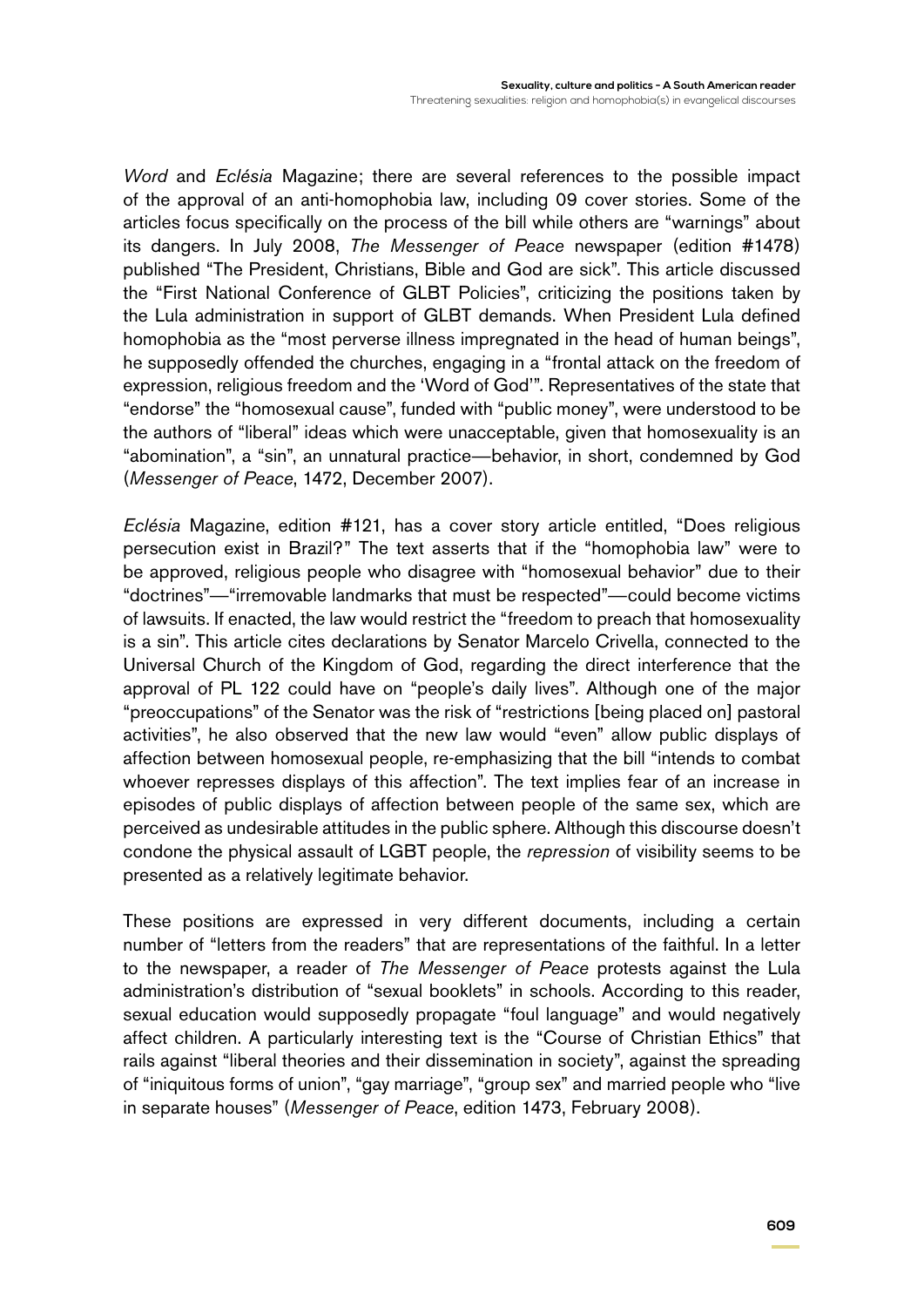*Word* and *Eclésia* Magazine; there are several references to the possible impact of the approval of an anti-homophobia law, including 09 cover stories. Some of the articles focus specifically on the process of the bill while others are "warnings" about its dangers. In July 2008, *The Messenger of Peace* newspaper (edition #1478) published "The President, Christians, Bible and God are sick". This article discussed the "First National Conference of GLBT Policies", criticizing the positions taken by the Lula administration in support of GLBT demands. When President Lula defined homophobia as the "most perverse illness impregnated in the head of human beings", he supposedly offended the churches, engaging in a "frontal attack on the freedom of expression, religious freedom and the 'Word of God'". Representatives of the state that "endorse" the "homosexual cause", funded with "public money", were understood to be the authors of "liberal" ideas which were unacceptable, given that homosexuality is an "abomination", a "sin", an unnatural practice—behavior, in short, condemned by God (*Messenger of Peace*, 1472, December 2007).

*Eclésia* Magazine, edition #121, has a cover story article entitled, "Does religious persecution exist in Brazil?" The text asserts that if the "homophobia law" were to be approved, religious people who disagree with "homosexual behavior" due to their "doctrines"—"irremovable landmarks that must be respected"—could become victims of lawsuits. If enacted, the law would restrict the "freedom to preach that homosexuality is a sin". This article cites declarations by Senator Marcelo Crivella, connected to the Universal Church of the Kingdom of God, regarding the direct interference that the approval of PL 122 could have on "people's daily lives". Although one of the major "preoccupations" of the Senator was the risk of "restrictions [being placed on] pastoral activities", he also observed that the new law would "even" allow public displays of affection between homosexual people, re-emphasizing that the bill "intends to combat whoever represses displays of this affection". The text implies fear of an increase in episodes of public displays of affection between people of the same sex, which are perceived as undesirable attitudes in the public sphere. Although this discourse doesn't condone the physical assault of LGBT people, the *repression* of visibility seems to be presented as a relatively legitimate behavior.

These positions are expressed in very different documents, including a certain number of "letters from the readers" that are representations of the faithful. In a letter to the newspaper, a reader of *The Messenger of Peace* protests against the Lula administration's distribution of "sexual booklets" in schools. According to this reader, sexual education would supposedly propagate "foul language" and would negatively affect children. A particularly interesting text is the "Course of Christian Ethics" that rails against "liberal theories and their dissemination in society", against the spreading of "iniquitous forms of union", "gay marriage", "group sex" and married people who "live in separate houses" (*Messenger of Peace*, edition 1473, February 2008).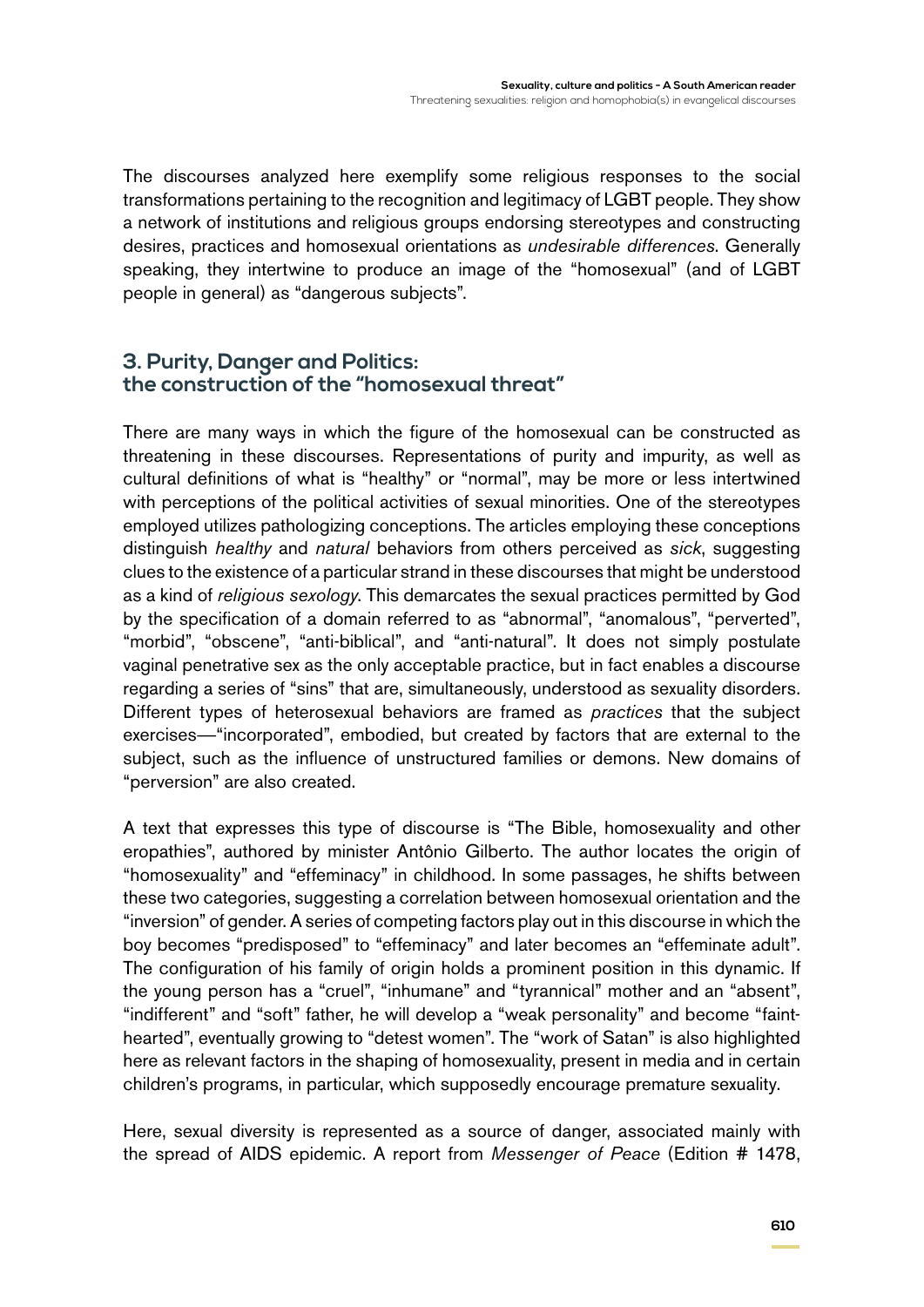The discourses analyzed here exemplify some religious responses to the social transformations pertaining to the recognition and legitimacy of LGBT people. They show a network of institutions and religious groups endorsing stereotypes and constructing desires, practices and homosexual orientations as *undesirable differences*. Generally speaking, they intertwine to produce an image of the "homosexual" (and of LGBT people in general) as "dangerous subjects".

## **3. Purity, Danger and Politics: the construction of the "homosexual threat"**

There are many ways in which the figure of the homosexual can be constructed as threatening in these discourses. Representations of purity and impurity, as well as cultural definitions of what is "healthy" or "normal", may be more or less intertwined with perceptions of the political activities of sexual minorities. One of the stereotypes employed utilizes pathologizing conceptions. The articles employing these conceptions distinguish *healthy* and *natural* behaviors from others perceived as *sick*, suggesting clues to the existence of a particular strand in these discourses that might be understood as a kind of *religious sexology*. This demarcates the sexual practices permitted by God by the specification of a domain referred to as "abnormal", "anomalous", "perverted", "morbid", "obscene", "anti-biblical", and "anti-natural". It does not simply postulate vaginal penetrative sex as the only acceptable practice, but in fact enables a discourse regarding a series of "sins" that are, simultaneously, understood as sexuality disorders. Different types of heterosexual behaviors are framed as *practices* that the subject exercises—"incorporated", embodied, but created by factors that are external to the subject, such as the influence of unstructured families or demons. New domains of "perversion" are also created.

A text that expresses this type of discourse is "The Bible, homosexuality and other eropathies", authored by minister Antônio Gilberto. The author locates the origin of "homosexuality" and "effeminacy" in childhood. In some passages, he shifts between these two categories, suggesting a correlation between homosexual orientation and the "inversion" of gender. A series of competing factors play out in this discourse in which the boy becomes "predisposed" to "effeminacy" and later becomes an "effeminate adult". The configuration of his family of origin holds a prominent position in this dynamic. If the young person has a "cruel", "inhumane" and "tyrannical" mother and an "absent", "indifferent" and "soft" father, he will develop a "weak personality" and become "fainthearted", eventually growing to "detest women". The "work of Satan" is also highlighted here as relevant factors in the shaping of homosexuality, present in media and in certain children's programs, in particular, which supposedly encourage premature sexuality.

Here, sexual diversity is represented as a source of danger, associated mainly with the spread of AIDS epidemic. A report from *Messenger of Peace* (Edition # 1478,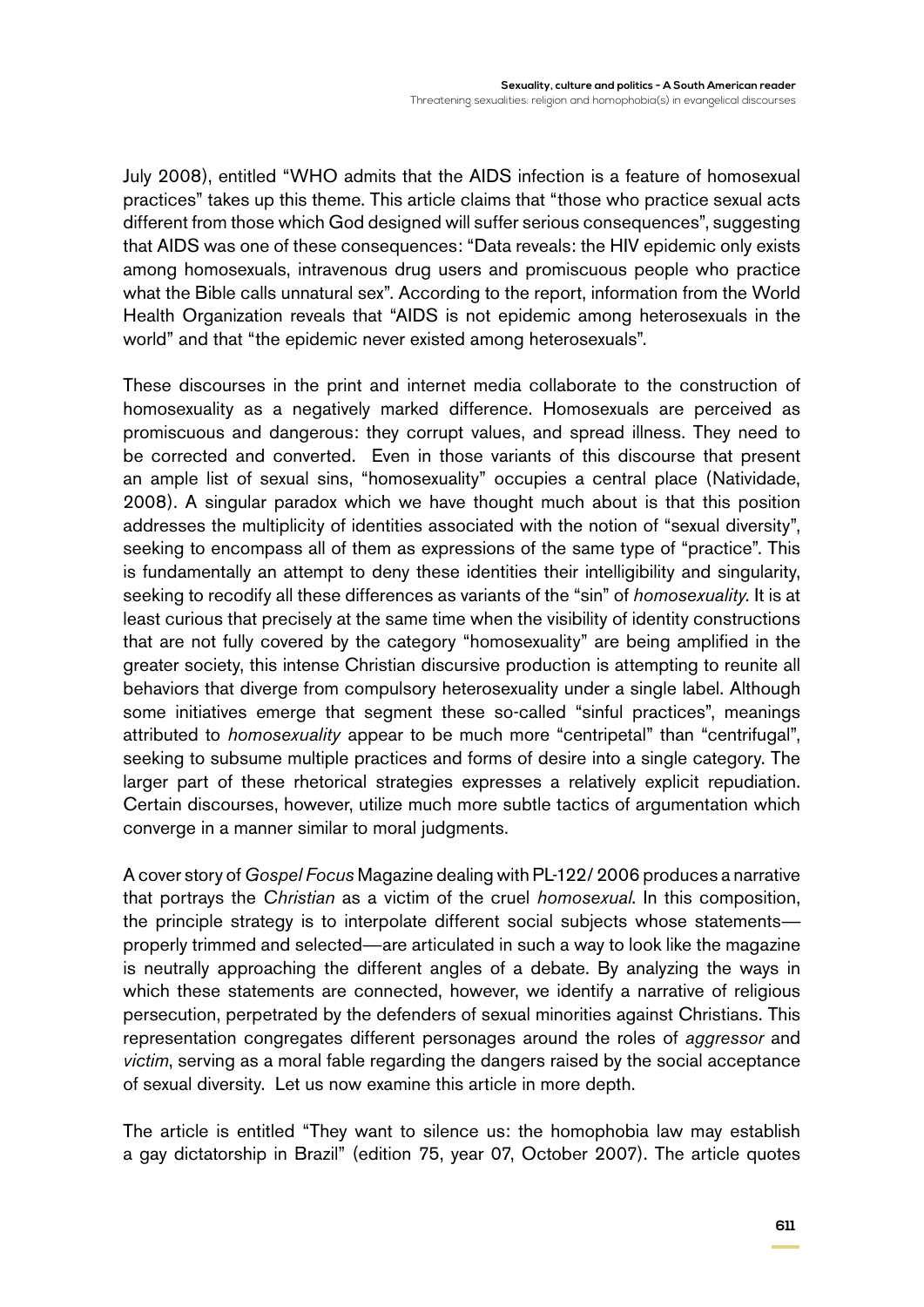July 2008), entitled "WHO admits that the AIDS infection is a feature of homosexual practices" takes up this theme. This article claims that "those who practice sexual acts different from those which God designed will suffer serious consequences", suggesting that AIDS was one of these consequences: "Data reveals: the HIV epidemic only exists among homosexuals, intravenous drug users and promiscuous people who practice what the Bible calls unnatural sex". According to the report, information from the World Health Organization reveals that "AIDS is not epidemic among heterosexuals in the world" and that "the epidemic never existed among heterosexuals".

These discourses in the print and internet media collaborate to the construction of homosexuality as a negatively marked difference. Homosexuals are perceived as promiscuous and dangerous: they corrupt values, and spread illness. They need to be corrected and converted. Even in those variants of this discourse that present an ample list of sexual sins, "homosexuality" occupies a central place (Natividade, 2008). A singular paradox which we have thought much about is that this position addresses the multiplicity of identities associated with the notion of "sexual diversity", seeking to encompass all of them as expressions of the same type of "practice". This is fundamentally an attempt to deny these identities their intelligibility and singularity, seeking to recodify all these differences as variants of the "sin" of *homosexuality.* It is at least curious that precisely at the same time when the visibility of identity constructions that are not fully covered by the category "homosexuality" are being amplified in the greater society, this intense Christian discursive production is attempting to reunite all behaviors that diverge from compulsory heterosexuality under a single label. Although some initiatives emerge that segment these so-called "sinful practices", meanings attributed to *homosexuality* appear to be much more "centripetal" than "centrifugal", seeking to subsume multiple practices and forms of desire into a single category. The larger part of these rhetorical strategies expresses a relatively explicit repudiation. Certain discourses, however, utilize much more subtle tactics of argumentation which converge in a manner similar to moral judgments.

A cover story of *Gospel Focus* Magazine dealing with PL-122/ 2006 produces a narrative that portrays the *Christian* as a victim of the cruel *homosexual*. In this composition, the principle strategy is to interpolate different social subjects whose statements properly trimmed and selected—are articulated in such a way to look like the magazine is neutrally approaching the different angles of a debate. By analyzing the ways in which these statements are connected, however, we identify a narrative of religious persecution, perpetrated by the defenders of sexual minorities against Christians. This representation congregates different personages around the roles of *aggressor* and *victim*, serving as a moral fable regarding the dangers raised by the social acceptance of sexual diversity. Let us now examine this article in more depth.

The article is entitled "They want to silence us: the homophobia law may establish a gay dictatorship in Brazil" (edition 75, year 07, October 2007). The article quotes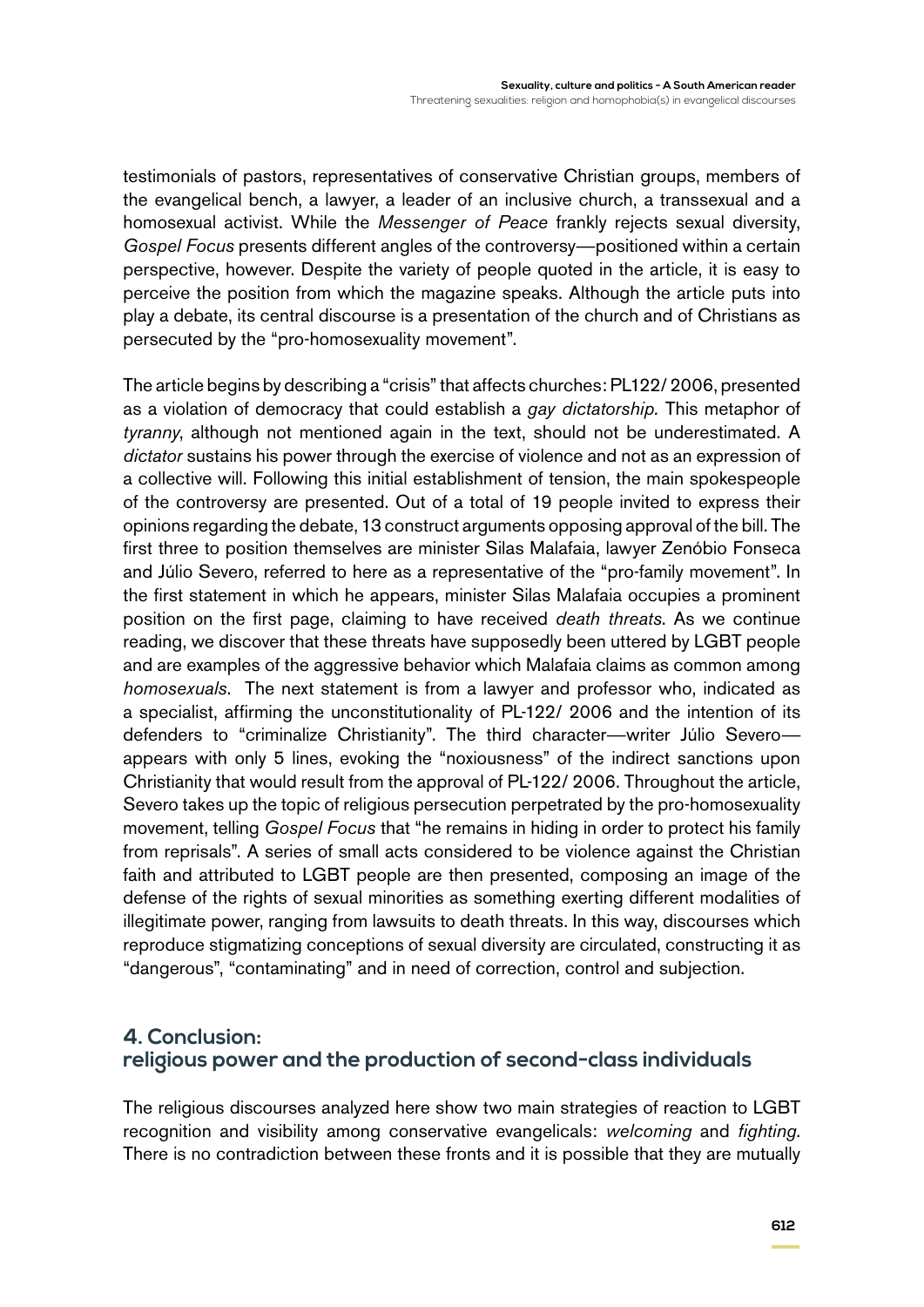testimonials of pastors, representatives of conservative Christian groups, members of the evangelical bench, a lawyer, a leader of an inclusive church, a transsexual and a homosexual activist. While the *Messenger of Peace* frankly rejects sexual diversity, *Gospel Focus* presents different angles of the controversy—positioned within a certain perspective, however. Despite the variety of people quoted in the article, it is easy to perceive the position from which the magazine speaks. Although the article puts into play a debate, its central discourse is a presentation of the church and of Christians as persecuted by the "pro-homosexuality movement".

The article begins by describing a "crisis" that affects churches: PL122/ 2006, presented as a violation of democracy that could establish a *gay dictatorship.* This metaphor of *tyranny*, although not mentioned again in the text, should not be underestimated. A *dictator* sustains his power through the exercise of violence and not as an expression of a collective will. Following this initial establishment of tension, the main spokespeople of the controversy are presented. Out of a total of 19 people invited to express their opinions regarding the debate, 13 construct arguments opposing approval of the bill. The first three to position themselves are minister Silas Malafaia, lawyer Zenóbio Fonseca and Júlio Severo, referred to here as a representative of the "pro-family movement". In the first statement in which he appears, minister Silas Malafaia occupies a prominent position on the first page, claiming to have received *death threats*. As we continue reading, we discover that these threats have supposedly been uttered by LGBT people and are examples of the aggressive behavior which Malafaia claims as common among *homosexuals*. The next statement is from a lawyer and professor who, indicated as a specialist, affirming the unconstitutionality of PL-122/ 2006 and the intention of its defenders to "criminalize Christianity". The third character—writer Júlio Severo appears with only 5 lines, evoking the "noxiousness" of the indirect sanctions upon Christianity that would result from the approval of PL-122/ 2006. Throughout the article, Severo takes up the topic of religious persecution perpetrated by the pro-homosexuality movement, telling *Gospel Focus* that "he remains in hiding in order to protect his family from reprisals". A series of small acts considered to be violence against the Christian faith and attributed to LGBT people are then presented, composing an image of the defense of the rights of sexual minorities as something exerting different modalities of illegitimate power, ranging from lawsuits to death threats. In this way, discourses which reproduce stigmatizing conceptions of sexual diversity are circulated, constructing it as "dangerous", "contaminating" and in need of correction, control and subjection.

## **4. Conclusion: religious power and the production of second-class individuals**

The religious discourses analyzed here show two main strategies of reaction to LGBT recognition and visibility among conservative evangelicals: *welcoming* and *fighting*. There is no contradiction between these fronts and it is possible that they are mutually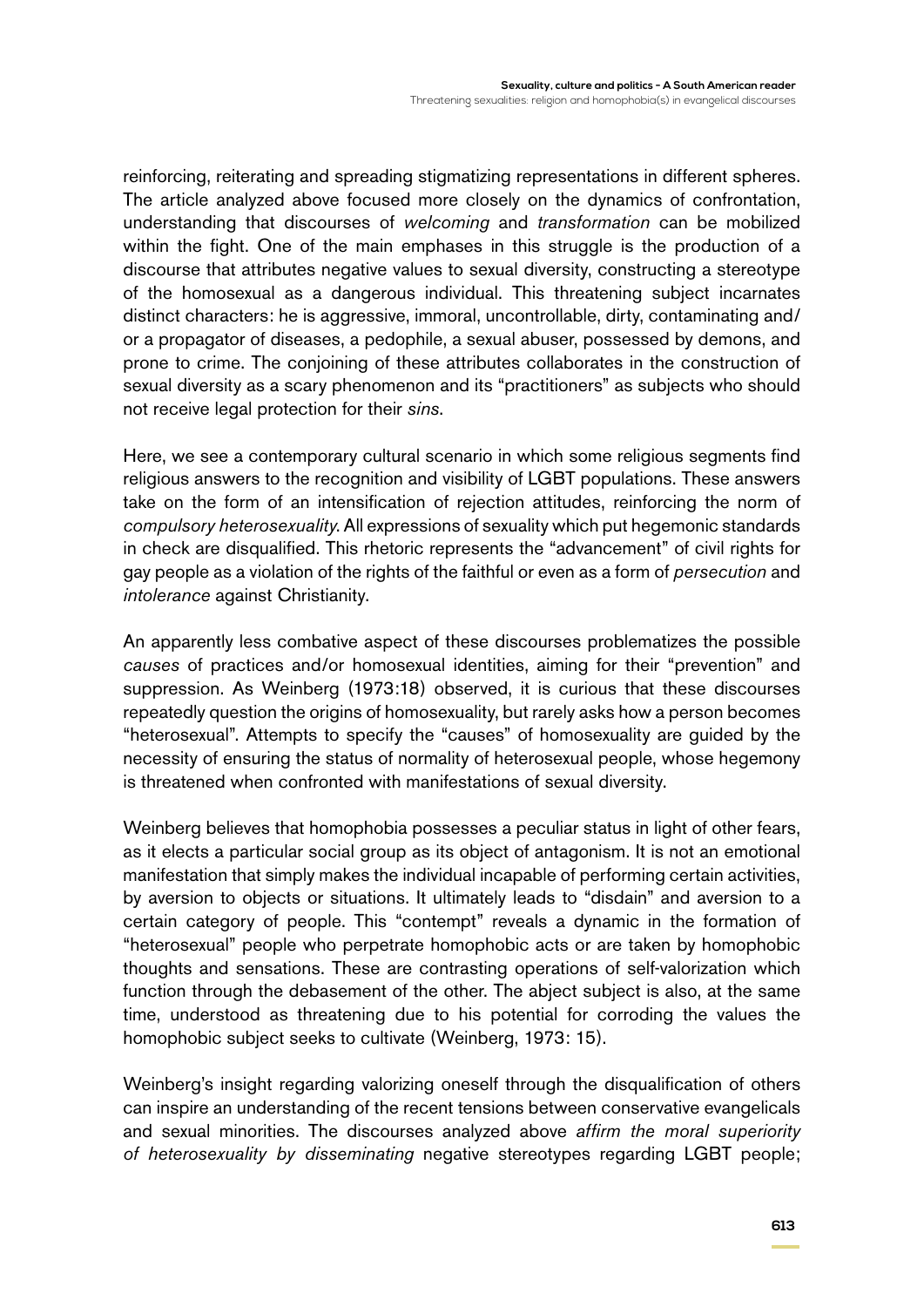reinforcing, reiterating and spreading stigmatizing representations in different spheres. The article analyzed above focused more closely on the dynamics of confrontation, understanding that discourses of *welcoming* and *transformation* can be mobilized within the fight. One of the main emphases in this struggle is the production of a discourse that attributes negative values to sexual diversity, constructing a stereotype of the homosexual as a dangerous individual. This threatening subject incarnates distinct characters: he is aggressive, immoral, uncontrollable, dirty, contaminating and/ or a propagator of diseases, a pedophile, a sexual abuser, possessed by demons, and prone to crime. The conjoining of these attributes collaborates in the construction of sexual diversity as a scary phenomenon and its "practitioners" as subjects who should not receive legal protection for their *sins*.

Here, we see a contemporary cultural scenario in which some religious segments find religious answers to the recognition and visibility of LGBT populations. These answers take on the form of an intensification of rejection attitudes, reinforcing the norm of *compulsory heterosexuality*. All expressions of sexuality which put hegemonic standards in check are disqualified. This rhetoric represents the "advancement" of civil rights for gay people as a violation of the rights of the faithful or even as a form of *persecution* and *intolerance* against Christianity.

An apparently less combative aspect of these discourses problematizes the possible *causes* of practices and/or homosexual identities, aiming for their "prevention" and suppression. As Weinberg (1973:18) observed, it is curious that these discourses repeatedly question the origins of homosexuality, but rarely asks how a person becomes "heterosexual". Attempts to specify the "causes" of homosexuality are guided by the necessity of ensuring the status of normality of heterosexual people, whose hegemony is threatened when confronted with manifestations of sexual diversity.

Weinberg believes that homophobia possesses a peculiar status in light of other fears, as it elects a particular social group as its object of antagonism. It is not an emotional manifestation that simply makes the individual incapable of performing certain activities, by aversion to objects or situations. It ultimately leads to "disdain" and aversion to a certain category of people. This "contempt" reveals a dynamic in the formation of "heterosexual" people who perpetrate homophobic acts or are taken by homophobic thoughts and sensations. These are contrasting operations of self-valorization which function through the debasement of the other. The abject subject is also, at the same time, understood as threatening due to his potential for corroding the values the homophobic subject seeks to cultivate (Weinberg, 1973: 15).

Weinberg's insight regarding valorizing oneself through the disqualification of others can inspire an understanding of the recent tensions between conservative evangelicals and sexual minorities. The discourses analyzed above *affirm the moral superiority of heterosexuality by disseminating* negative stereotypes regarding LGBT people;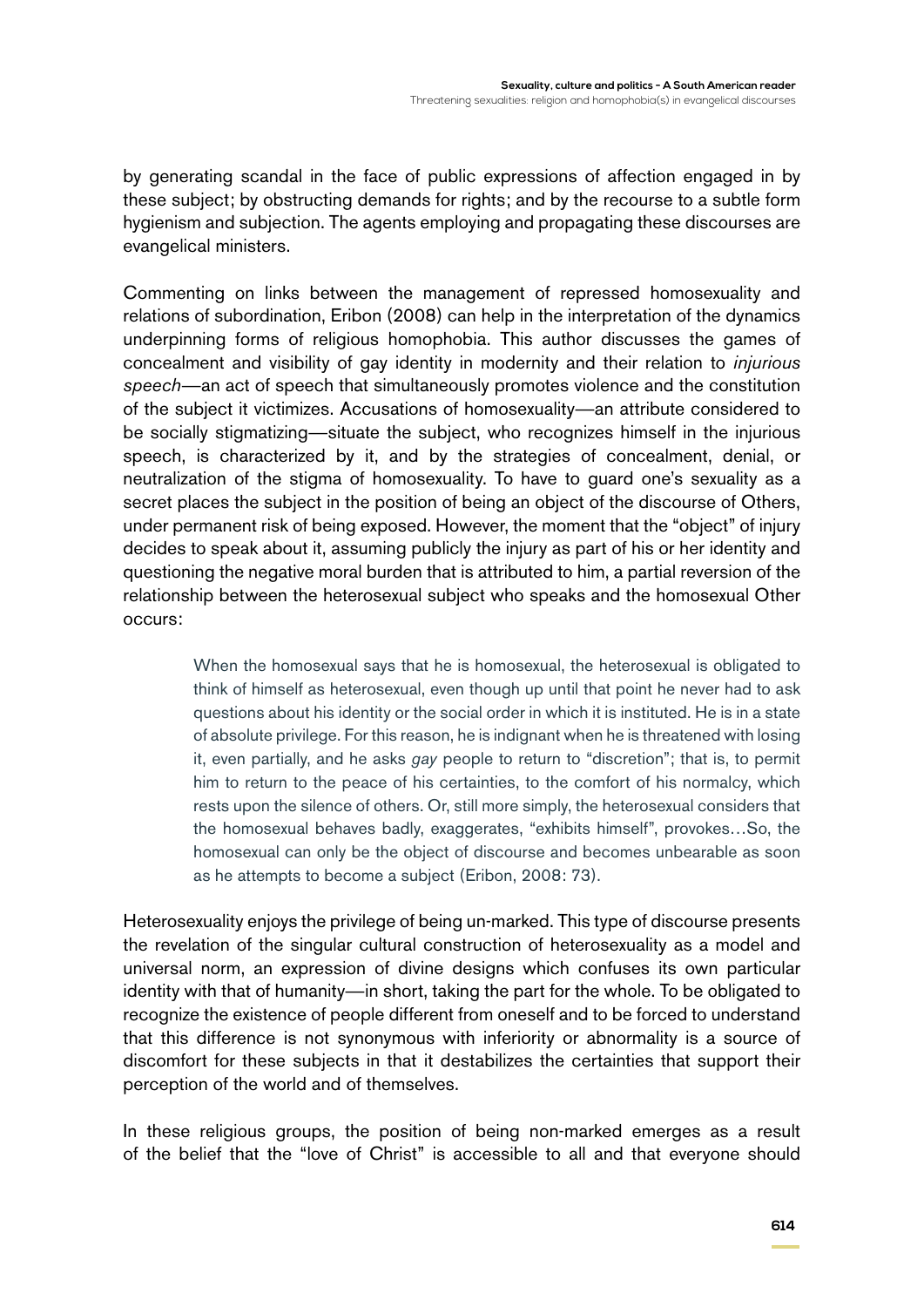by generating scandal in the face of public expressions of affection engaged in by these subject; by obstructing demands for rights; and by the recourse to a subtle form hygienism and subjection. The agents employing and propagating these discourses are evangelical ministers.

Commenting on links between the management of repressed homosexuality and relations of subordination, Eribon (2008) can help in the interpretation of the dynamics underpinning forms of religious homophobia. This author discusses the games of concealment and visibility of gay identity in modernity and their relation to *injurious speech*—an act of speech that simultaneously promotes violence and the constitution of the subject it victimizes. Accusations of homosexuality—an attribute considered to be socially stigmatizing—situate the subject, who recognizes himself in the injurious speech, is characterized by it, and by the strategies of concealment, denial, or neutralization of the stigma of homosexuality. To have to guard one's sexuality as a secret places the subject in the position of being an object of the discourse of Others, under permanent risk of being exposed. However, the moment that the "object" of injury decides to speak about it, assuming publicly the injury as part of his or her identity and questioning the negative moral burden that is attributed to him, a partial reversion of the relationship between the heterosexual subject who speaks and the homosexual Other occurs:

> When the homosexual says that he is homosexual, the heterosexual is obligated to think of himself as heterosexual, even though up until that point he never had to ask questions about his identity or the social order in which it is instituted. He is in a state of absolute privilege. For this reason, he is indignant when he is threatened with losing it, even partially, and he asks *gay* people to return to "discretion"; that is, to permit him to return to the peace of his certainties, to the comfort of his normalcy, which rests upon the silence of others. Or, still more simply, the heterosexual considers that the homosexual behaves badly, exaggerates, "exhibits himself", provokes…So, the homosexual can only be the object of discourse and becomes unbearable as soon as he attempts to become a subject (Eribon, 2008: 73).

Heterosexuality enjoys the privilege of being un-marked. This type of discourse presents the revelation of the singular cultural construction of heterosexuality as a model and universal norm, an expression of divine designs which confuses its own particular identity with that of humanity—in short, taking the part for the whole. To be obligated to recognize the existence of people different from oneself and to be forced to understand that this difference is not synonymous with inferiority or abnormality is a source of discomfort for these subjects in that it destabilizes the certainties that support their perception of the world and of themselves.

In these religious groups, the position of being non-marked emerges as a result of the belief that the "love of Christ" is accessible to all and that everyone should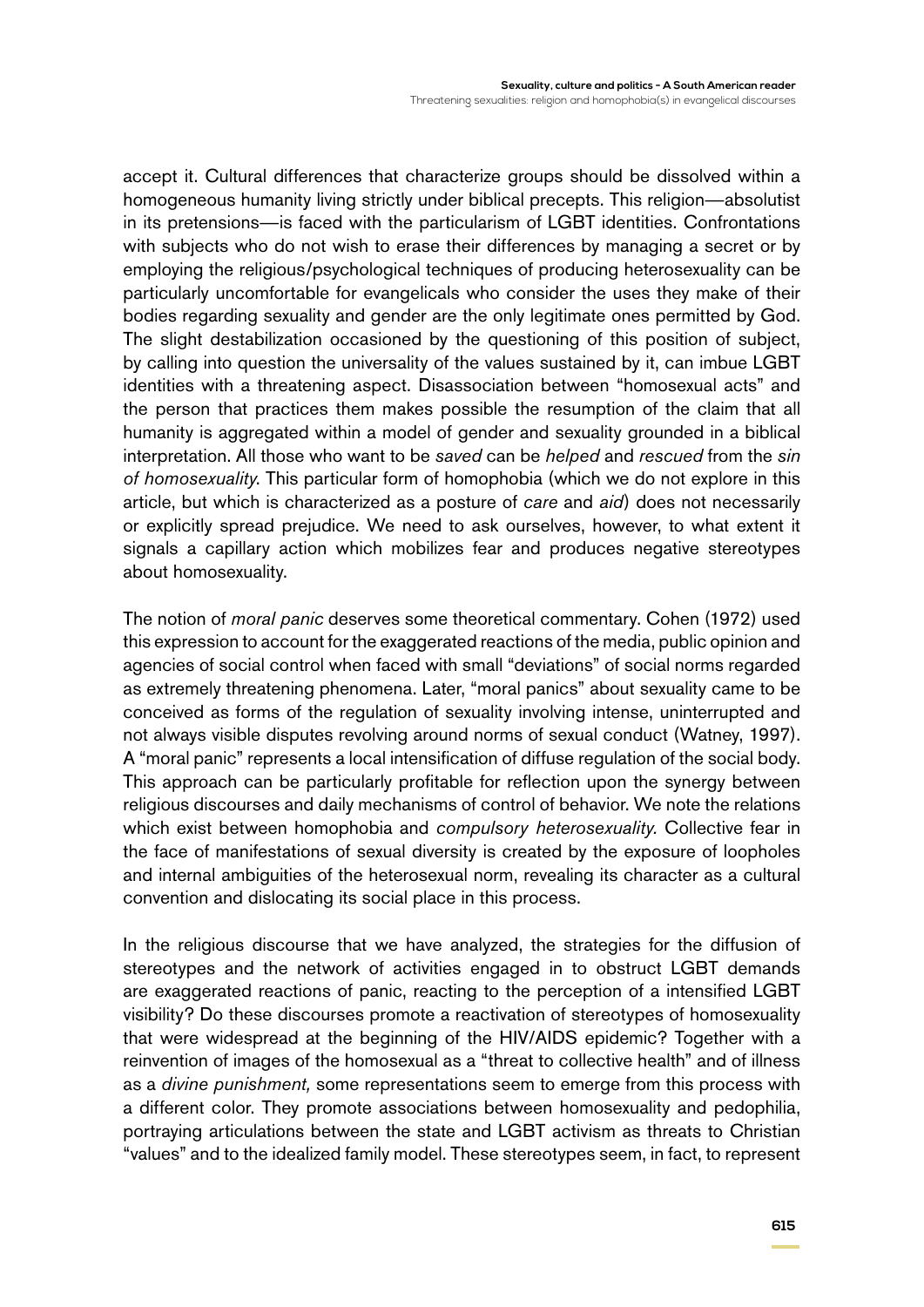accept it. Cultural differences that characterize groups should be dissolved within a homogeneous humanity living strictly under biblical precepts. This religion—absolutist in its pretensions—is faced with the particularism of LGBT identities. Confrontations with subjects who do not wish to erase their differences by managing a secret or by employing the religious/psychological techniques of producing heterosexuality can be particularly uncomfortable for evangelicals who consider the uses they make of their bodies regarding sexuality and gender are the only legitimate ones permitted by God. The slight destabilization occasioned by the questioning of this position of subject, by calling into question the universality of the values sustained by it, can imbue LGBT identities with a threatening aspect. Disassociation between "homosexual acts" and the person that practices them makes possible the resumption of the claim that all humanity is aggregated within a model of gender and sexuality grounded in a biblical interpretation. All those who want to be *saved* can be *helped* and *rescued* from the *sin of homosexuality*. This particular form of homophobia (which we do not explore in this article, but which is characterized as a posture of *care* and *aid*) does not necessarily or explicitly spread prejudice. We need to ask ourselves, however, to what extent it signals a capillary action which mobilizes fear and produces negative stereotypes about homosexuality.

The notion of *moral panic* deserves some theoretical commentary. Cohen (1972) used this expression to account for the exaggerated reactions of the media, public opinion and agencies of social control when faced with small "deviations" of social norms regarded as extremely threatening phenomena. Later, "moral panics" about sexuality came to be conceived as forms of the regulation of sexuality involving intense, uninterrupted and not always visible disputes revolving around norms of sexual conduct (Watney, 1997). A "moral panic" represents a local intensification of diffuse regulation of the social body. This approach can be particularly profitable for reflection upon the synergy between religious discourses and daily mechanisms of control of behavior. We note the relations which exist between homophobia and *compulsory heterosexuality.* Collective fear in the face of manifestations of sexual diversity is created by the exposure of loopholes and internal ambiguities of the heterosexual norm, revealing its character as a cultural convention and dislocating its social place in this process.

In the religious discourse that we have analyzed, the strategies for the diffusion of stereotypes and the network of activities engaged in to obstruct LGBT demands are exaggerated reactions of panic, reacting to the perception of a intensified LGBT visibility? Do these discourses promote a reactivation of stereotypes of homosexuality that were widespread at the beginning of the HIV/AIDS epidemic? Together with a reinvention of images of the homosexual as a "threat to collective health" and of illness as a *divine punishment,* some representations seem to emerge from this process with a different color. They promote associations between homosexuality and pedophilia, portraying articulations between the state and LGBT activism as threats to Christian "values" and to the idealized family model. These stereotypes seem, in fact, to represent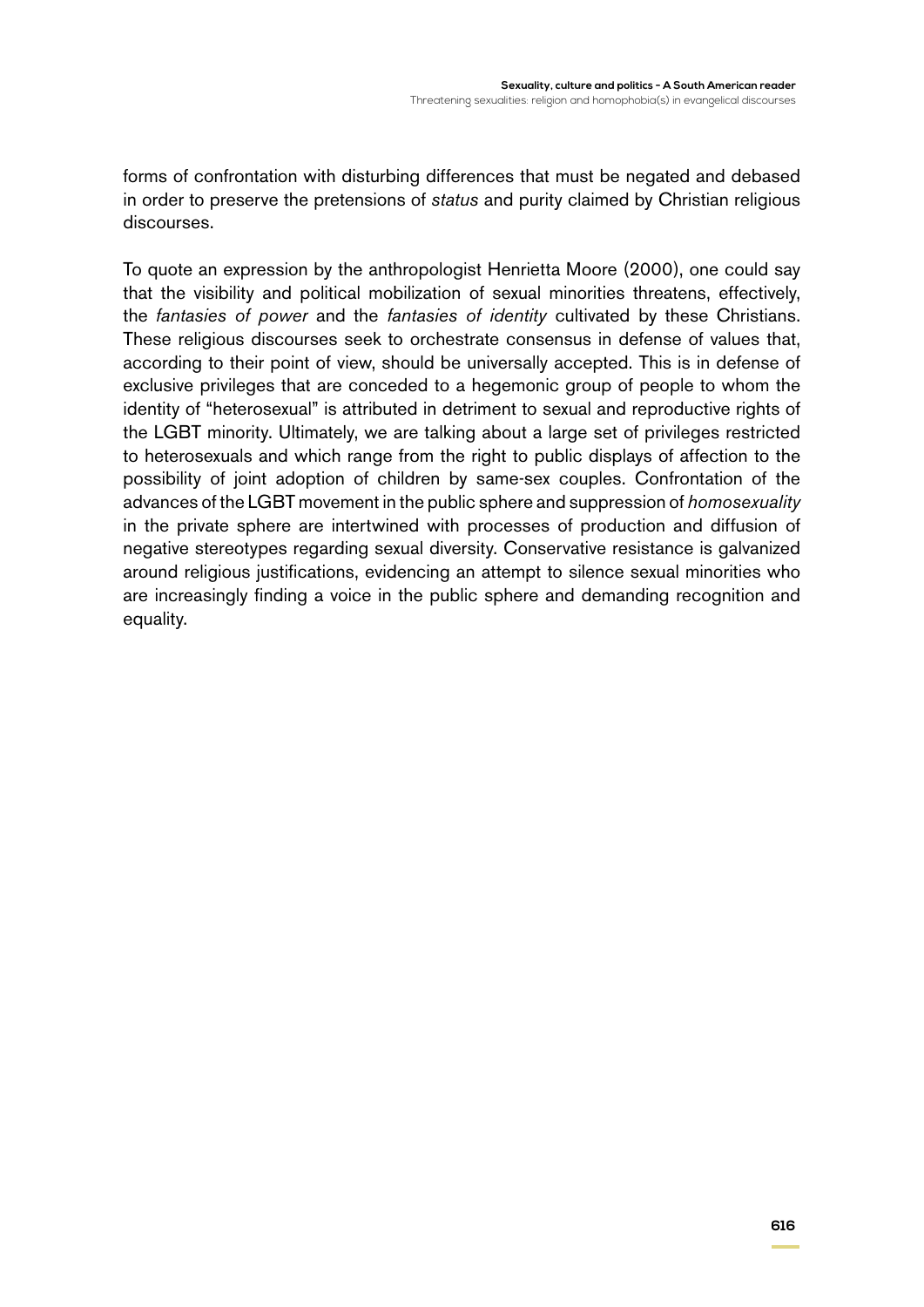forms of confrontation with disturbing differences that must be negated and debased in order to preserve the pretensions of *status* and purity claimed by Christian religious discourses.

To quote an expression by the anthropologist Henrietta Moore (2000), one could say that the visibility and political mobilization of sexual minorities threatens, effectively, the *fantasies of power* and the *fantasies of identity* cultivated by these Christians. These religious discourses seek to orchestrate consensus in defense of values that, according to their point of view, should be universally accepted. This is in defense of exclusive privileges that are conceded to a hegemonic group of people to whom the identity of "heterosexual" is attributed in detriment to sexual and reproductive rights of the LGBT minority. Ultimately, we are talking about a large set of privileges restricted to heterosexuals and which range from the right to public displays of affection to the possibility of joint adoption of children by same-sex couples. Confrontation of the advances of the LGBT movement in the public sphere and suppression of *homosexuality* in the private sphere are intertwined with processes of production and diffusion of negative stereotypes regarding sexual diversity. Conservative resistance is galvanized around religious justifications, evidencing an attempt to silence sexual minorities who are increasingly finding a voice in the public sphere and demanding recognition and equality.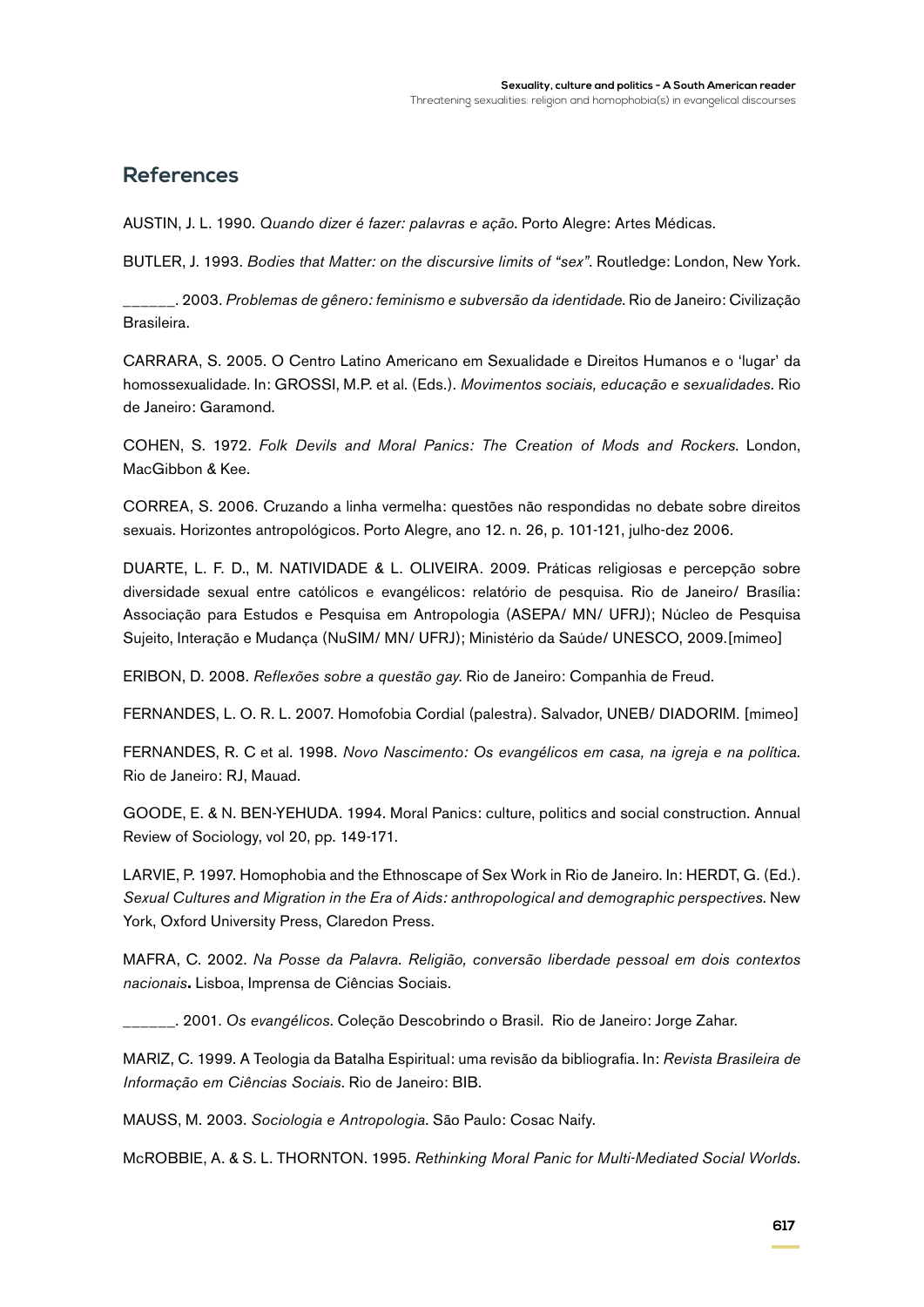# **References**

AUSTIN, J. L. 1990. *Quando dizer é fazer: palavras e ação*. Porto Alegre: Artes Médicas.

BUTLER, J. 1993. *Bodies that Matter: on the discursive limits of "sex"*. Routledge: London, New York.

\_\_\_\_\_\_. 2003. *Problemas de gênero: feminismo e subversão da identidade*. Rio de Janeiro: Civilização Brasileira.

CARRARA, S. 2005. O Centro Latino Americano em Sexualidade e Direitos Humanos e o 'lugar' da homossexualidade. In: GROSSI, M.P. et al. (Eds.). *Movimentos sociais, educação e sexualidades*. Rio de Janeiro: Garamond.

COHEN, S. 1972. *Folk Devils and Moral Panics: The Creation of Mods and Rockers*. London, MacGibbon & Kee.

CORREA, S. 2006. Cruzando a linha vermelha: questões não respondidas no debate sobre direitos sexuais. Horizontes antropológicos. Porto Alegre, ano 12. n. 26, p. 101-121, julho-dez 2006.

DUARTE, L. F. D., M. NATIVIDADE & L. OLIVEIRA. 2009. Práticas religiosas e percepção sobre diversidade sexual entre católicos e evangélicos: relatório de pesquisa. Rio de Janeiro/ Brasília: Associação para Estudos e Pesquisa em Antropologia (ASEPA/ MN/ UFRJ); Núcleo de Pesquisa Sujeito, Interação e Mudança (NuSIM/ MN/ UFRJ); Ministério da Saúde/ UNESCO, 2009.[mimeo]

ERIBON, D. 2008. *Reflexões sobre a questão gay*. Rio de Janeiro: Companhia de Freud.

FERNANDES, L. O. R. L. 2007. Homofobia Cordial (palestra). Salvador, UNEB/ DIADORIM. [mimeo]

FERNANDES, R. C et al. 1998. *Novo Nascimento: Os evangélicos em casa, na igreja e na política.* Rio de Janeiro: RJ, Mauad.

GOODE, E. & N. BEN-YEHUDA. 1994. Moral Panics: culture, politics and social construction. Annual Review of Sociology, vol 20, pp. 149-171.

LARVIE, P. 1997. Homophobia and the Ethnoscape of Sex Work in Rio de Janeiro. In: HERDT, G. (Ed.). *Sexual Cultures and Migration in the Era of Aids: anthropological and demographic perspectives*. New York, Oxford University Press, Claredon Press.

MAFRA, C. 2002. *Na Posse da Palavra. Religião, conversão liberdade pessoal em dois contextos nacionais***.** Lisboa, Imprensa de Ciências Sociais.

\_\_\_\_\_\_. 2001. *Os evangélicos*. Coleção Descobrindo o Brasil. Rio de Janeiro: Jorge Zahar.

MARIZ, C. 1999. A Teologia da Batalha Espiritual: uma revisão da bibliografia. In: *Revista Brasileira de Informação em Ciências Sociais*. Rio de Janeiro: BIB.

MAUSS, M. 2003. *Sociologia e Antropologia*. São Paulo: Cosac Naify.

McROBBIE, A. & S. L. THORNTON. 1995. *Rethinking Moral Panic for Multi-Mediated Social Worlds*.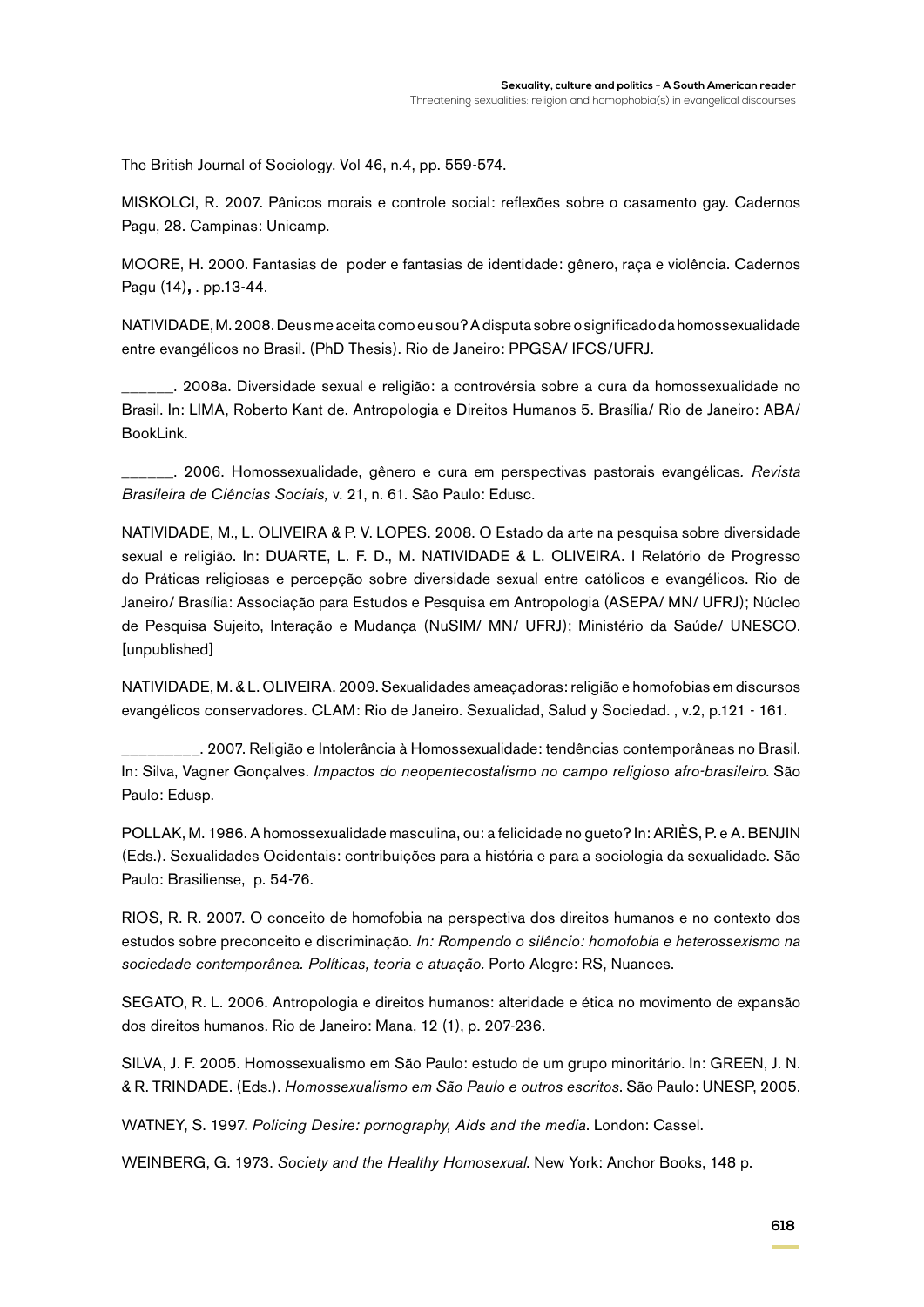The British Journal of Sociology. Vol 46, n.4, pp. 559-574.

MISKOLCI, R. 2007. Pânicos morais e controle social: reflexões sobre o casamento gay. Cadernos Pagu, 28. Campinas: Unicamp.

MOORE, H. 2000. Fantasias de poder e fantasias de identidade: gênero, raça e violência. Cadernos Pagu (14)**,** . pp.13-44.

NATIVIDADE, M. 2008. Deus me aceita como eu sou? A disputa sobre o significado da homossexualidade entre evangélicos no Brasil. (PhD Thesis). Rio de Janeiro: PPGSA/ IFCS/UFRJ.

\_\_\_\_\_\_. 2008a. Diversidade sexual e religião: a controvérsia sobre a cura da homossexualidade no Brasil. In: LIMA, Roberto Kant de. Antropologia e Direitos Humanos 5. Brasília/ Rio de Janeiro: ABA/ BookLink.

\_\_\_\_\_\_. 2006. Homossexualidade, gênero e cura em perspectivas pastorais evangélicas*. Revista Brasileira de Ciências Sociais,* v. 21, n. 61. São Paulo: Edusc.

NATIVIDADE, M., L. OLIVEIRA & P. V. LOPES. 2008. O Estado da arte na pesquisa sobre diversidade sexual e religião. In: DUARTE, L. F. D., M. NATIVIDADE & L. OLIVEIRA. I Relatório de Progresso do Práticas religiosas e percepção sobre diversidade sexual entre católicos e evangélicos. Rio de Janeiro/ Brasília: Associação para Estudos e Pesquisa em Antropologia (ASEPA/ MN/ UFRJ); Núcleo de Pesquisa Sujeito, Interação e Mudança (NuSIM/ MN/ UFRJ); Ministério da Saúde/ UNESCO. [unpublished]

NATIVIDADE, M. & L. OLIVEIRA. 2009. Sexualidades ameaçadoras: religião e homofobias em discursos evangélicos conservadores. CLAM: Rio de Janeiro. Sexualidad, Salud y Sociedad. , v.2, p.121 - 161.

\_\_\_\_\_\_\_\_\_. 2007. Religião e Intolerância à Homossexualidade: tendências contemporâneas no Brasil. In: Silva, Vagner Gonçalves. *Impactos do neopentecostalismo no campo religioso afro-brasileiro*. São Paulo: Edusp.

POLLAK, M. 1986. A homossexualidade masculina, ou: a felicidade no gueto? In: ARIÈS, P. e A. BENJIN (Eds.). Sexualidades Ocidentais: contribuições para a história e para a sociologia da sexualidade. São Paulo: Brasiliense, p. 54-76.

RIOS, R. R. 2007. O conceito de homofobia na perspectiva dos direitos humanos e no contexto dos estudos sobre preconceito e discriminação. *In: Rompendo o silêncio: homofobia e heterossexismo na sociedade contemporânea. Políticas, teoria e atuação.* Porto Alegre: RS, Nuances.

SEGATO, R. L. 2006. Antropologia e direitos humanos: alteridade e ética no movimento de expansão dos direitos humanos. Rio de Janeiro: Mana, 12 (1), p. 207-236.

SILVA, J. F. 2005. Homossexualismo em São Paulo: estudo de um grupo minoritário. In: Green, J. N. & R. Trindade. (Eds.). *Homossexualismo em São Paulo e outros escritos*. São Paulo: UNESP, 2005.

WATNEY, S. 1997. *Policing Desire: pornography, Aids and the media*. London: Cassel.

WEINBERG, G. 1973. *Society and the Healthy Homosexual*. New York: Anchor Books, 148 p.